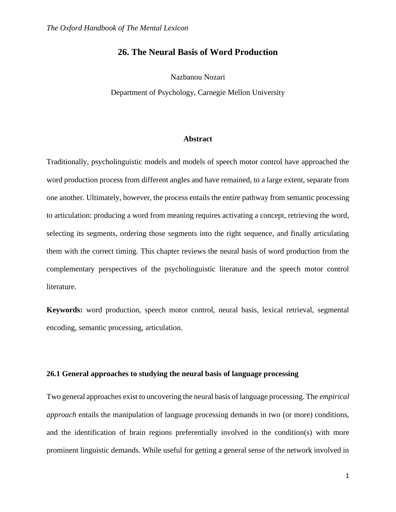# **26. The Neural Basis of Word Production**

Nazbanou Nozari

Department of Psychology, Carnegie Mellon University

## **Abstract**

Traditionally, psycholinguistic models and models of speech motor control have approached the word production process from different angles and have remained, to a large extent, separate from one another. Ultimately, however, the process entails the entire pathway from semantic processing to articulation: producing a word from meaning requires activating a concept, retrieving the word, selecting its segments, ordering those segments into the right sequence, and finally articulating them with the correct timing. This chapter reviews the neural basis of word production from the complementary perspectives of the psycholinguistic literature and the speech motor control literature.

**Keywords:** word production, speech motor control, neural basis, lexical retrieval, segmental encoding, semantic processing, articulation.

#### **26.1 General approaches to studying the neural basis of language processing**

Two general approaches exist to uncovering the neural basis of language processing. The *empirical approach* entails the manipulation of language processing demands in two (or more) conditions, and the identification of brain regions preferentially involved in the condition(s) with more prominent linguistic demands. While useful for getting a general sense of the network involved in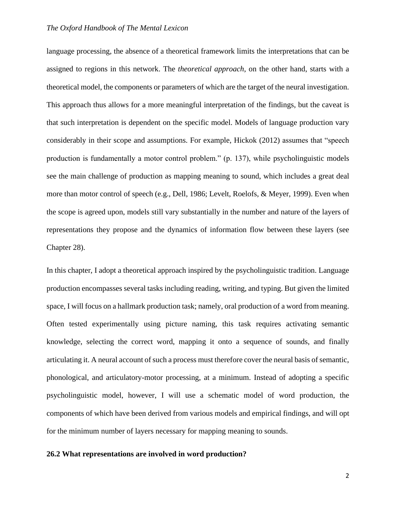language processing, the absence of a theoretical framework limits the interpretations that can be assigned to regions in this network. The *theoretical approach*, on the other hand, starts with a theoretical model, the components or parameters of which are the target of the neural investigation. This approach thus allows for a more meaningful interpretation of the findings, but the caveat is that such interpretation is dependent on the specific model. Models of language production vary considerably in their scope and assumptions. For example, Hickok (2012) assumes that "speech production is fundamentally a motor control problem." (p. 137), while psycholinguistic models see the main challenge of production as mapping meaning to sound, which includes a great deal more than motor control of speech (e.g., Dell, 1986; Levelt, Roelofs, & Meyer, 1999). Even when the scope is agreed upon, models still vary substantially in the number and nature of the layers of representations they propose and the dynamics of information flow between these layers (see Chapter 28).

In this chapter, I adopt a theoretical approach inspired by the psycholinguistic tradition. Language production encompasses several tasks including reading, writing, and typing. But given the limited space, I will focus on a hallmark production task; namely, oral production of a word from meaning. Often tested experimentally using picture naming, this task requires activating semantic knowledge, selecting the correct word, mapping it onto a sequence of sounds, and finally articulating it. A neural account of such a process must therefore cover the neural basis of semantic, phonological, and articulatory-motor processing, at a minimum. Instead of adopting a specific psycholinguistic model, however, I will use a schematic model of word production, the components of which have been derived from various models and empirical findings, and will opt for the minimum number of layers necessary for mapping meaning to sounds.

#### **26.2 What representations are involved in word production?**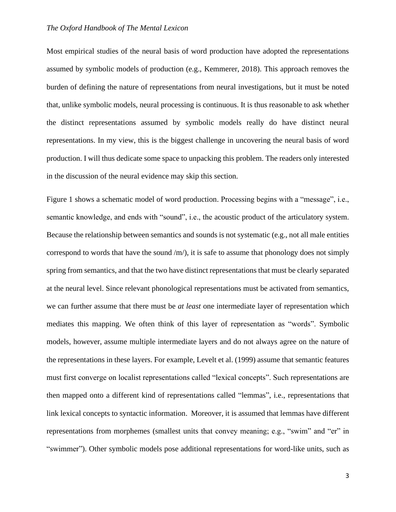Most empirical studies of the neural basis of word production have adopted the representations assumed by symbolic models of production (e.g., Kemmerer, 2018). This approach removes the burden of defining the nature of representations from neural investigations, but it must be noted that, unlike symbolic models, neural processing is continuous. It is thus reasonable to ask whether the distinct representations assumed by symbolic models really do have distinct neural representations. In my view, this is the biggest challenge in uncovering the neural basis of word production. I will thus dedicate some space to unpacking this problem. The readers only interested in the discussion of the neural evidence may skip this section.

Figure 1 shows a schematic model of word production. Processing begins with a "message", i.e., semantic knowledge, and ends with "sound", i.e., the acoustic product of the articulatory system. Because the relationship between semantics and sounds is not systematic (e.g., not all male entities correspond to words that have the sound  $/m<sub>l</sub>$ , it is safe to assume that phonology does not simply spring from semantics, and that the two have distinct representations that must be clearly separated at the neural level. Since relevant phonological representations must be activated from semantics, we can further assume that there must be *at least* one intermediate layer of representation which mediates this mapping. We often think of this layer of representation as "words". Symbolic models, however, assume multiple intermediate layers and do not always agree on the nature of the representations in these layers. For example, Levelt et al. (1999) assume that semantic features must first converge on localist representations called "lexical concepts". Such representations are then mapped onto a different kind of representations called "lemmas", i.e., representations that link lexical concepts to syntactic information. Moreover, it is assumed that lemmas have different representations from morphemes (smallest units that convey meaning; e.g., "swim" and "er" in "swimmer"). Other symbolic models pose additional representations for word-like units, such as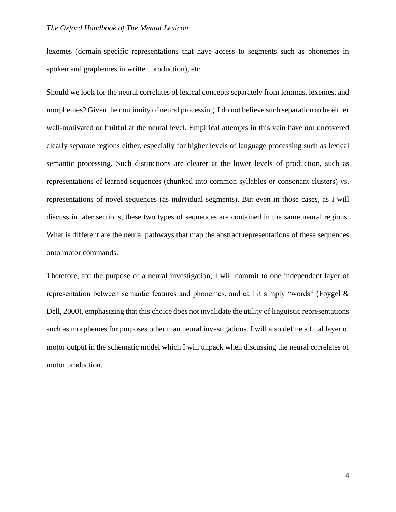lexemes (domain-specific representations that have access to segments such as phonemes in spoken and graphemes in written production), etc.

Should we look for the neural correlates of lexical concepts separately from lemmas, lexemes, and morphemes? Given the continuity of neural processing, I do not believe such separation to be either well-motivated or fruitful at the neural level. Empirical attempts in this vein have not uncovered clearly separate regions either, especially for higher levels of language processing such as lexical semantic processing. Such distinctions are clearer at the lower levels of production, such as representations of learned sequences (chunked into common syllables or consonant clusters) vs. representations of novel sequences (as individual segments). But even in those cases, as I will discuss in later sections, these two types of sequences are contained in the same neural regions. What is different are the neural pathways that map the abstract representations of these sequences onto motor commands.

Therefore, for the purpose of a neural investigation, I will commit to one independent layer of representation between semantic features and phonemes, and call it simply "words" (Foygel & Dell, 2000), emphasizing that this choice does not invalidate the utility of linguistic representations such as morphemes for purposes other than neural investigations. I will also define a final layer of motor output in the schematic model which I will unpack when discussing the neural correlates of motor production.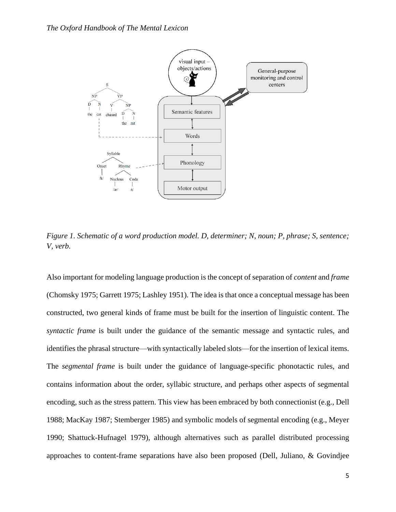

*Figure 1. Schematic of a word production model. D, determiner; N, noun; P, phrase; S, sentence; V, verb.* 

Also important for modeling language production is the concept of separation of *content* and *frame* (Chomsky 1975; Garrett 1975; Lashley 1951). The idea is that once a conceptual message has been constructed, two general kinds of frame must be built for the insertion of linguistic content. The *syntactic frame* is built under the guidance of the semantic message and syntactic rules, and identifies the phrasal structure—with syntactically labeled slots—for the insertion of lexical items. The *segmental frame* is built under the guidance of language-specific phonotactic rules, and contains information about the order, syllabic structure, and perhaps other aspects of segmental encoding, such as the stress pattern. This view has been embraced by both connectionist (e.g., Dell 1988; MacKay 1987; Stemberger 1985) and symbolic models of segmental encoding (e.g., Meyer 1990; Shattuck-Hufnagel 1979), although alternatives such as parallel distributed processing approaches to content-frame separations have also been proposed (Dell, Juliano, & Govindjee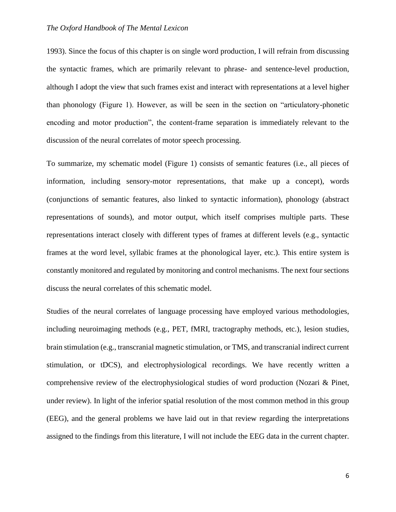1993). Since the focus of this chapter is on single word production, I will refrain from discussing the syntactic frames, which are primarily relevant to phrase- and sentence-level production, although I adopt the view that such frames exist and interact with representations at a level higher than phonology (Figure 1). However, as will be seen in the section on "articulatory-phonetic encoding and motor production", the content-frame separation is immediately relevant to the discussion of the neural correlates of motor speech processing.

To summarize, my schematic model (Figure 1) consists of semantic features (i.e., all pieces of information, including sensory-motor representations, that make up a concept), words (conjunctions of semantic features, also linked to syntactic information), phonology (abstract representations of sounds), and motor output, which itself comprises multiple parts. These representations interact closely with different types of frames at different levels (e.g., syntactic frames at the word level, syllabic frames at the phonological layer, etc.). This entire system is constantly monitored and regulated by monitoring and control mechanisms. The next four sections discuss the neural correlates of this schematic model.

Studies of the neural correlates of language processing have employed various methodologies, including neuroimaging methods (e.g., PET, fMRI, tractography methods, etc.), lesion studies, brain stimulation (e.g., transcranial magnetic stimulation, or TMS, and transcranial indirect current stimulation, or tDCS), and electrophysiological recordings. We have recently written a comprehensive review of the electrophysiological studies of word production (Nozari & Pinet, under review). In light of the inferior spatial resolution of the most common method in this group (EEG), and the general problems we have laid out in that review regarding the interpretations assigned to the findings from this literature, I will not include the EEG data in the current chapter.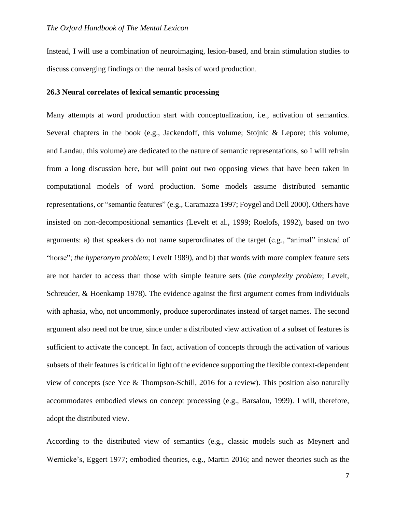Instead, I will use a combination of neuroimaging, lesion-based, and brain stimulation studies to discuss converging findings on the neural basis of word production.

#### **26.3 Neural correlates of lexical semantic processing**

Many attempts at word production start with conceptualization, i.e., activation of semantics. Several chapters in the book (e.g., Jackendoff, this volume; Stojnic & Lepore; this volume, and Landau, this volume) are dedicated to the nature of semantic representations, so I will refrain from a long discussion here, but will point out two opposing views that have been taken in computational models of word production. Some models assume distributed semantic representations, or "semantic features" (e.g., Caramazza 1997; Foygel and Dell 2000). Others have insisted on non-decompositional semantics (Levelt et al., 1999; Roelofs, 1992), based on two arguments: a) that speakers do not name superordinates of the target (e.g., "animal" instead of "horse"; *the hyperonym problem*; Levelt 1989), and b) that words with more complex feature sets are not harder to access than those with simple feature sets (*the complexity problem*; Levelt, Schreuder, & Hoenkamp 1978). The evidence against the first argument comes from individuals with aphasia, who, not uncommonly, produce superordinates instead of target names. The second argument also need not be true, since under a distributed view activation of a subset of features is sufficient to activate the concept. In fact, activation of concepts through the activation of various subsets of their features is critical in light of the evidence supporting the flexible context-dependent view of concepts (see Yee & Thompson-Schill, 2016 for a review). This position also naturally accommodates embodied views on concept processing (e.g., Barsalou, 1999). I will, therefore, adopt the distributed view.

According to the distributed view of semantics (e.g., classic models such as Meynert and Wernicke's, Eggert 1977; embodied theories, e.g., Martin 2016; and newer theories such as the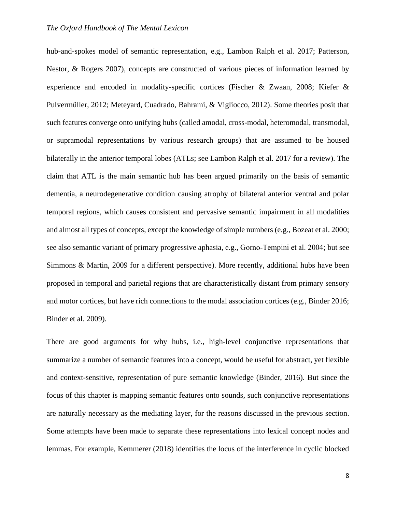hub-and-spokes model of semantic representation, e.g., Lambon Ralph et al. 2017; Patterson, Nestor, & Rogers 2007), concepts are constructed of various pieces of information learned by experience and encoded in modality-specific cortices (Fischer & Zwaan, 2008; Kiefer & Pulvermüller, 2012; Meteyard, Cuadrado, Bahrami, & Vigliocco, 2012). Some theories posit that such features converge onto unifying hubs (called amodal, cross-modal, heteromodal, transmodal, or supramodal representations by various research groups) that are assumed to be housed bilaterally in the anterior temporal lobes (ATLs; see Lambon Ralph et al. 2017 for a review). The claim that ATL is the main semantic hub has been argued primarily on the basis of semantic dementia, a neurodegenerative condition causing atrophy of bilateral anterior ventral and polar temporal regions, which causes consistent and pervasive semantic impairment in all modalities and almost all types of concepts, except the knowledge of simple numbers (e.g., Bozeat et al. 2000; see also semantic variant of primary progressive aphasia, e.g., Gorno‐Tempini et al. 2004; but see Simmons & Martin, 2009 for a different perspective). More recently, additional hubs have been proposed in temporal and parietal regions that are characteristically distant from primary sensory and motor cortices, but have rich connections to the modal association cortices (e.g., Binder 2016; Binder et al. 2009).

There are good arguments for why hubs, i.e., high-level conjunctive representations that summarize a number of semantic features into a concept, would be useful for abstract, yet flexible and context-sensitive, representation of pure semantic knowledge (Binder, 2016). But since the focus of this chapter is mapping semantic features onto sounds, such conjunctive representations are naturally necessary as the mediating layer, for the reasons discussed in the previous section. Some attempts have been made to separate these representations into lexical concept nodes and lemmas. For example, Kemmerer (2018) identifies the locus of the interference in cyclic blocked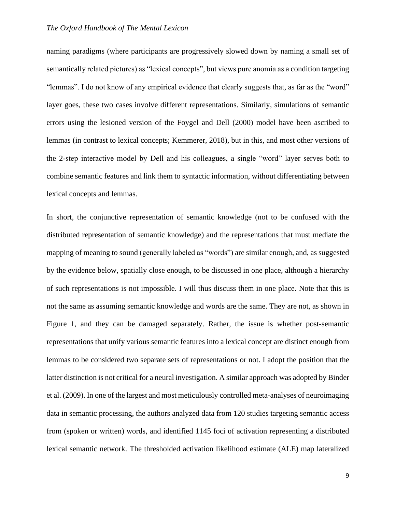naming paradigms (where participants are progressively slowed down by naming a small set of semantically related pictures) as "lexical concepts", but views pure anomia as a condition targeting "lemmas". I do not know of any empirical evidence that clearly suggests that, as far as the "word" layer goes, these two cases involve different representations. Similarly, simulations of semantic errors using the lesioned version of the Foygel and Dell (2000) model have been ascribed to lemmas (in contrast to lexical concepts; Kemmerer, 2018), but in this, and most other versions of the 2-step interactive model by Dell and his colleagues, a single "word" layer serves both to combine semantic features and link them to syntactic information, without differentiating between lexical concepts and lemmas.

In short, the conjunctive representation of semantic knowledge (not to be confused with the distributed representation of semantic knowledge) and the representations that must mediate the mapping of meaning to sound (generally labeled as "words") are similar enough, and, as suggested by the evidence below, spatially close enough, to be discussed in one place, although a hierarchy of such representations is not impossible. I will thus discuss them in one place. Note that this is not the same as assuming semantic knowledge and words are the same. They are not, as shown in Figure 1, and they can be damaged separately. Rather, the issue is whether post-semantic representations that unify various semantic features into a lexical concept are distinct enough from lemmas to be considered two separate sets of representations or not. I adopt the position that the latter distinction is not critical for a neural investigation. A similar approach was adopted by Binder et al. (2009). In one of the largest and most meticulously controlled meta-analyses of neuroimaging data in semantic processing, the authors analyzed data from 120 studies targeting semantic access from (spoken or written) words, and identified 1145 foci of activation representing a distributed lexical semantic network. The thresholded activation likelihood estimate (ALE) map lateralized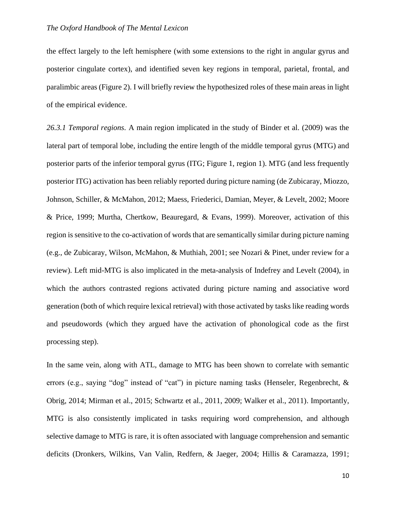the effect largely to the left hemisphere (with some extensions to the right in angular gyrus and posterior cingulate cortex), and identified seven key regions in temporal, parietal, frontal, and paralimbic areas (Figure 2). I will briefly review the hypothesized roles of these main areas in light of the empirical evidence.

*26.3.1 Temporal regions.* A main region implicated in the study of Binder et al. (2009) was the lateral part of temporal lobe, including the entire length of the middle temporal gyrus (MTG) and posterior parts of the inferior temporal gyrus (ITG; Figure 1, region 1). MTG (and less frequently posterior ITG) activation has been reliably reported during picture naming (de Zubicaray, Miozzo, Johnson, Schiller, & McMahon, 2012; Maess, Friederici, Damian, Meyer, & Levelt, 2002; Moore & Price, 1999; Murtha, Chertkow, Beauregard, & Evans, 1999). Moreover, activation of this region is sensitive to the co-activation of words that are semantically similar during picture naming (e.g., de Zubicaray, Wilson, McMahon, & Muthiah, 2001; see Nozari & Pinet, under review for a review). Left mid-MTG is also implicated in the meta-analysis of Indefrey and Levelt (2004), in which the authors contrasted regions activated during picture naming and associative word generation (both of which require lexical retrieval) with those activated by tasks like reading words and pseudowords (which they argued have the activation of phonological code as the first processing step).

In the same vein, along with ATL, damage to MTG has been shown to correlate with semantic errors (e.g., saying "dog" instead of "cat") in picture naming tasks (Henseler, Regenbrecht, & Obrig, 2014; Mirman et al., 2015; Schwartz et al., 2011, 2009; Walker et al., 2011). Importantly, MTG is also consistently implicated in tasks requiring word comprehension, and although selective damage to MTG is rare, it is often associated with language comprehension and semantic deficits (Dronkers, Wilkins, Van Valin, Redfern, & Jaeger, 2004; Hillis & Caramazza, 1991;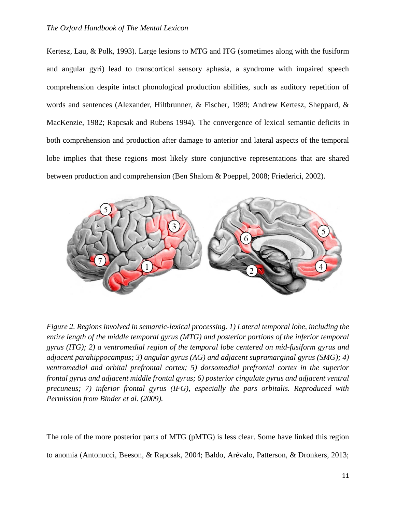Kertesz, Lau, & Polk, 1993). Large lesions to MTG and ITG (sometimes along with the fusiform and angular gyri) lead to transcortical sensory aphasia, a syndrome with impaired speech comprehension despite intact phonological production abilities, such as auditory repetition of words and sentences (Alexander, Hiltbrunner, & Fischer, 1989; Andrew Kertesz, Sheppard, & MacKenzie, 1982; Rapcsak and Rubens 1994). The convergence of lexical semantic deficits in both comprehension and production after damage to anterior and lateral aspects of the temporal lobe implies that these regions most likely store conjunctive representations that are shared between production and comprehension (Ben Shalom & Poeppel, 2008; Friederici, 2002).



*Figure 2. Regions involved in semantic-lexical processing. 1) Lateral temporal lobe, including the entire length of the middle temporal gyrus (MTG) and posterior portions of the inferior temporal gyrus (ITG); 2) a ventromedial region of the temporal lobe centered on mid-fusiform gyrus and adjacent parahippocampus; 3) angular gyrus (AG) and adjacent supramarginal gyrus (SMG); 4) ventromedial and orbital prefrontal cortex; 5) dorsomedial prefrontal cortex in the superior frontal gyrus and adjacent middle frontal gyrus; 6) posterior cingulate gyrus and adjacent ventral precuneus; 7) inferior frontal gyrus (IFG), especially the pars orbitalis. Reproduced with Permission from Binder et al. (2009).* 

The role of the more posterior parts of MTG (pMTG) is less clear. Some have linked this region to anomia (Antonucci, Beeson, & Rapcsak, 2004; Baldo, Arévalo, Patterson, & Dronkers, 2013;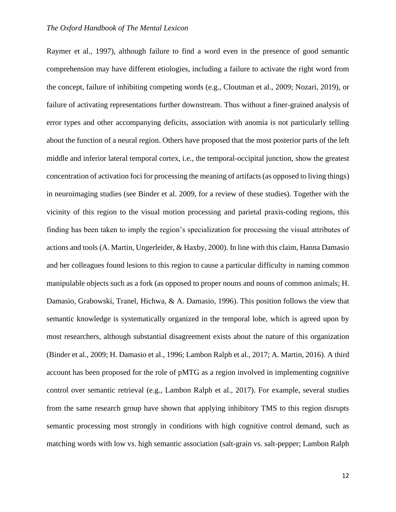Raymer et al., 1997), although failure to find a word even in the presence of good semantic comprehension may have different etiologies, including a failure to activate the right word from the concept, failure of inhibiting competing words (e.g., Cloutman et al., 2009; Nozari, 2019), or failure of activating representations further downstream. Thus without a finer-grained analysis of error types and other accompanying deficits, association with anomia is not particularly telling about the function of a neural region. Others have proposed that the most posterior parts of the left middle and inferior lateral temporal cortex, i.e., the temporal-occipital junction, show the greatest concentration of activation foci for processing the meaning of artifacts (as opposed to living things) in neuroimaging studies (see Binder et al. 2009, for a review of these studies). Together with the vicinity of this region to the visual motion processing and parietal praxis-coding regions, this finding has been taken to imply the region's specialization for processing the visual attributes of actions and tools (A. Martin, Ungerleider, & Haxby, 2000). In line with this claim, Hanna Damasio and her colleagues found lesions to this region to cause a particular difficulty in naming common manipulable objects such as a fork (as opposed to proper nouns and nouns of common animals; H. Damasio, Grabowski, Tranel, Hichwa, & A. Damasio, 1996). This position follows the view that semantic knowledge is systematically organized in the temporal lobe, which is agreed upon by most researchers, although substantial disagreement exists about the nature of this organization (Binder et al., 2009; H. Damasio et al., 1996; Lambon Ralph et al., 2017; A. Martin, 2016). A third account has been proposed for the role of pMTG as a region involved in implementing cognitive control over semantic retrieval (e.g., Lambon Ralph et al., 2017). For example, several studies from the same research group have shown that applying inhibitory TMS to this region disrupts semantic processing most strongly in conditions with high cognitive control demand, such as matching words with low vs. high semantic association (salt-grain vs. salt-pepper; Lambon Ralph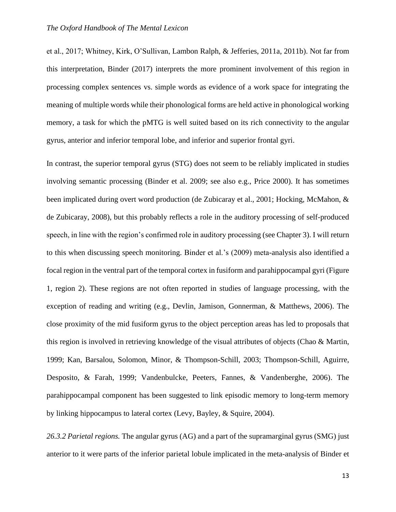et al., 2017; Whitney, Kirk, O'Sullivan, Lambon Ralph, & Jefferies, 2011a, 2011b). Not far from this interpretation, Binder (2017) interprets the more prominent involvement of this region in processing complex sentences vs. simple words as evidence of a work space for integrating the meaning of multiple words while their phonological forms are held active in phonological working memory, a task for which the pMTG is well suited based on its rich connectivity to the angular gyrus, anterior and inferior temporal lobe, and inferior and superior frontal gyri.

In contrast, the superior temporal gyrus (STG) does not seem to be reliably implicated in studies involving semantic processing (Binder et al. 2009; see also e.g., Price 2000). It has sometimes been implicated during overt word production (de Zubicaray et al., 2001; Hocking, McMahon, & de Zubicaray, 2008), but this probably reflects a role in the auditory processing of self-produced speech, in line with the region's confirmed role in auditory processing (see Chapter 3). I will return to this when discussing speech monitoring. Binder et al.'s (2009) meta-analysis also identified a focal region in the ventral part of the temporal cortex in fusiform and parahippocampal gyri (Figure 1, region 2). These regions are not often reported in studies of language processing, with the exception of reading and writing (e.g., Devlin, Jamison, Gonnerman, & Matthews, 2006). The close proximity of the mid fusiform gyrus to the object perception areas has led to proposals that this region is involved in retrieving knowledge of the visual attributes of objects (Chao & Martin, 1999; Kan, Barsalou, Solomon, Minor, & Thompson-Schill, 2003; Thompson-Schill, Aguirre, Desposito, & Farah, 1999; Vandenbulcke, Peeters, Fannes, & Vandenberghe, 2006). The parahippocampal component has been suggested to link episodic memory to long-term memory by linking hippocampus to lateral cortex (Levy, Bayley, & Squire, 2004).

*26.3.2 Parietal regions.* The angular gyrus (AG) and a part of the supramarginal gyrus (SMG) just anterior to it were parts of the inferior parietal lobule implicated in the meta-analysis of Binder et

13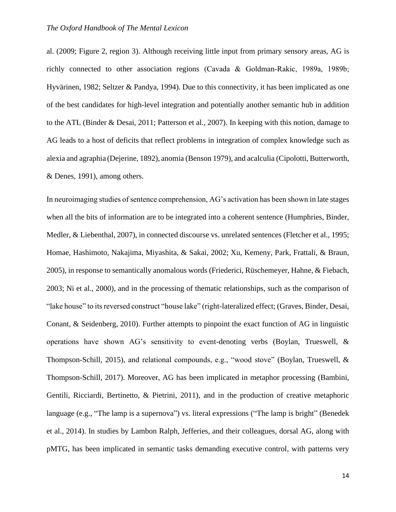al. (2009; Figure 2, region 3). Although receiving little input from primary sensory areas, AG is richly connected to other association regions (Cavada & Goldman‐Rakic, 1989a, 1989b; Hyvärinen, 1982; Seltzer & Pandya, 1994). Due to this connectivity, it has been implicated as one of the best candidates for high-level integration and potentially another semantic hub in addition to the ATL (Binder & Desai, 2011; Patterson et al., 2007). In keeping with this notion, damage to AG leads to a host of deficits that reflect problems in integration of complex knowledge such as alexia and agraphia (Dejerine, 1892), anomia (Benson 1979), and acalculia (Cipolotti, Butterworth, & Denes, 1991), among others.

In neuroimaging studies of sentence comprehension, AG's activation has been shown in late stages when all the bits of information are to be integrated into a coherent sentence (Humphries, Binder, Medler, & Liebenthal, 2007), in connected discourse vs. unrelated sentences (Fletcher et al., 1995; Homae, Hashimoto, Nakajima, Miyashita, & Sakai, 2002; Xu, Kemeny, Park, Frattali, & Braun, 2005), in response to semantically anomalous words (Friederici, Rüschemeyer, Hahne, & Fiebach, 2003; Ni et al., 2000), and in the processing of thematic relationships, such as the comparison of "lake house" to its reversed construct "house lake" (right-lateralized effect; (Graves, Binder, Desai, Conant, & Seidenberg, 2010). Further attempts to pinpoint the exact function of AG in linguistic operations have shown AG's sensitivity to event-denoting verbs (Boylan, Trueswell, & Thompson-Schill, 2015), and relational compounds, e.g., "wood stove" (Boylan, Trueswell, & Thompson-Schill, 2017). Moreover, AG has been implicated in metaphor processing (Bambini, Gentili, Ricciardi, Bertinetto, & Pietrini, 2011), and in the production of creative metaphoric language (e.g., "The lamp is a supernova") vs. literal expressions ("The lamp is bright" (Benedek et al., 2014). In studies by Lambon Ralph, Jefferies, and their colleagues, dorsal AG, along with pMTG, has been implicated in semantic tasks demanding executive control, with patterns very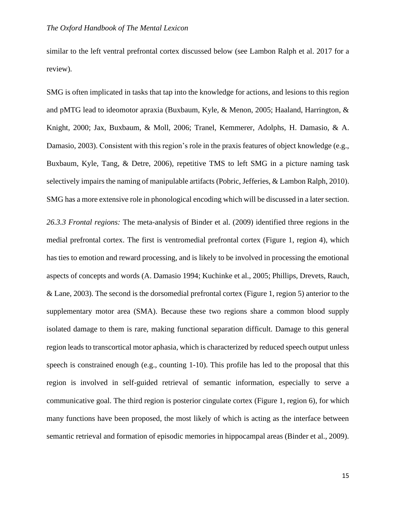similar to the left ventral prefrontal cortex discussed below (see Lambon Ralph et al. 2017 for a review).

SMG is often implicated in tasks that tap into the knowledge for actions, and lesions to this region and pMTG lead to ideomotor apraxia (Buxbaum, Kyle, & Menon, 2005; Haaland, Harrington, & Knight, 2000; Jax, Buxbaum, & Moll, 2006; Tranel, Kemmerer, Adolphs, H. Damasio, & A. Damasio, 2003). Consistent with this region's role in the praxis features of object knowledge (e.g., Buxbaum, Kyle, Tang, & Detre, 2006), repetitive TMS to left SMG in a picture naming task selectively impairs the naming of manipulable artifacts (Pobric, Jefferies, & Lambon Ralph, 2010). SMG has a more extensive role in phonological encoding which will be discussed in a later section.

*26.3.3 Frontal regions:* The meta-analysis of Binder et al. (2009) identified three regions in the medial prefrontal cortex. The first is ventromedial prefrontal cortex (Figure 1, region 4), which has ties to emotion and reward processing, and is likely to be involved in processing the emotional aspects of concepts and words (A. Damasio 1994; Kuchinke et al., 2005; Phillips, Drevets, Rauch, & Lane, 2003). The second is the dorsomedial prefrontal cortex (Figure 1, region 5) anterior to the supplementary motor area (SMA). Because these two regions share a common blood supply isolated damage to them is rare, making functional separation difficult. Damage to this general region leads to transcortical motor aphasia, which is characterized by reduced speech output unless speech is constrained enough (e.g., counting 1-10). This profile has led to the proposal that this region is involved in self-guided retrieval of semantic information, especially to serve a communicative goal. The third region is posterior cingulate cortex (Figure 1, region 6), for which many functions have been proposed, the most likely of which is acting as the interface between semantic retrieval and formation of episodic memories in hippocampal areas (Binder et al., 2009).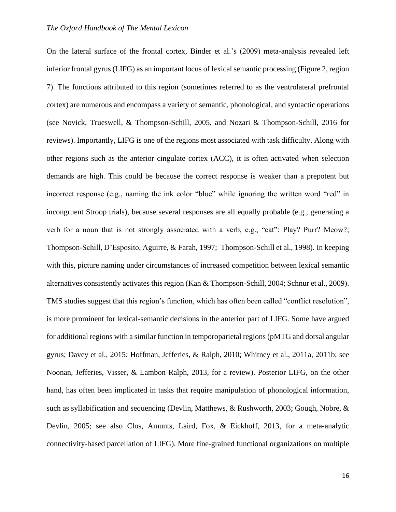On the lateral surface of the frontal cortex, Binder et al.'s (2009) meta-analysis revealed left inferior frontal gyrus (LIFG) as an important locus of lexical semantic processing (Figure 2, region 7). The functions attributed to this region (sometimes referred to as the ventrolateral prefrontal cortex) are numerous and encompass a variety of semantic, phonological, and syntactic operations (see Novick, Trueswell, & Thompson-Schill, 2005, and Nozari & Thompson-Schill, 2016 for reviews). Importantly, LIFG is one of the regions most associated with task difficulty. Along with other regions such as the anterior cingulate cortex (ACC), it is often activated when selection demands are high. This could be because the correct response is weaker than a prepotent but incorrect response (e.g., naming the ink color "blue" while ignoring the written word "red" in incongruent Stroop trials), because several responses are all equally probable (e.g., generating a verb for a noun that is not strongly associated with a verb, e.g., "cat": Play? Purr? Meow?; Thompson-Schill, D'Esposito, Aguirre, & Farah, 1997; Thompson-Schill et al., 1998). In keeping with this, picture naming under circumstances of increased competition between lexical semantic alternatives consistently activates this region (Kan & Thompson-Schill, 2004; Schnur et al., 2009). TMS studies suggest that this region's function, which has often been called "conflict resolution", is more prominent for lexical-semantic decisions in the anterior part of LIFG. Some have argued for additional regions with a similar function in temporoparietal regions (pMTG and dorsal angular gyrus; Davey et al., 2015; Hoffman, Jefferies, & Ralph, 2010; Whitney et al., 2011a, 2011b; see Noonan, Jefferies, Visser, & Lambon Ralph, 2013, for a review). Posterior LIFG, on the other hand, has often been implicated in tasks that require manipulation of phonological information, such as syllabification and sequencing (Devlin, Matthews, & Rushworth, 2003; Gough, Nobre, & Devlin, 2005; see also Clos, Amunts, Laird, Fox, & Eickhoff, 2013, for a meta-analytic connectivity-based parcellation of LIFG). More fine-grained functional organizations on multiple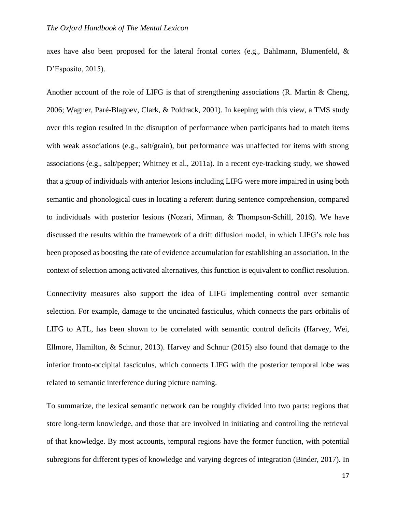axes have also been proposed for the lateral frontal cortex (e.g., Bahlmann, Blumenfeld,  $\&$ D'Esposito, 2015).

Another account of the role of LIFG is that of strengthening associations (R. Martin & Cheng, 2006; Wagner, Paré-Blagoev, Clark, & Poldrack, 2001). In keeping with this view, a TMS study over this region resulted in the disruption of performance when participants had to match items with weak associations (e.g., salt/grain), but performance was unaffected for items with strong associations (e.g., salt/pepper; Whitney et al., 2011a). In a recent eye-tracking study, we showed that a group of individuals with anterior lesions including LIFG were more impaired in using both semantic and phonological cues in locating a referent during sentence comprehension, compared to individuals with posterior lesions (Nozari, Mirman, & Thompson-Schill, 2016). We have discussed the results within the framework of a drift diffusion model, in which LIFG's role has been proposed as boosting the rate of evidence accumulation for establishing an association. In the context of selection among activated alternatives, this function is equivalent to conflict resolution.

Connectivity measures also support the idea of LIFG implementing control over semantic selection. For example, damage to the uncinated fasciculus, which connects the pars orbitalis of LIFG to ATL, has been shown to be correlated with semantic control deficits (Harvey, Wei, Ellmore, Hamilton, & Schnur, 2013). Harvey and Schnur (2015) also found that damage to the inferior fronto-occipital fasciculus, which connects LIFG with the posterior temporal lobe was related to semantic interference during picture naming.

To summarize, the lexical semantic network can be roughly divided into two parts: regions that store long-term knowledge, and those that are involved in initiating and controlling the retrieval of that knowledge. By most accounts, temporal regions have the former function, with potential subregions for different types of knowledge and varying degrees of integration (Binder, 2017). In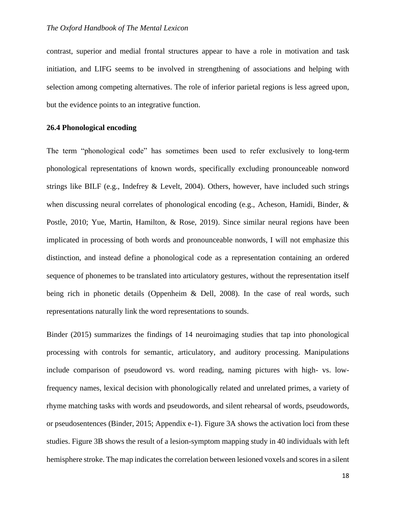contrast, superior and medial frontal structures appear to have a role in motivation and task initiation, and LIFG seems to be involved in strengthening of associations and helping with selection among competing alternatives. The role of inferior parietal regions is less agreed upon, but the evidence points to an integrative function.

#### **26.4 Phonological encoding**

The term "phonological code" has sometimes been used to refer exclusively to long-term phonological representations of known words, specifically excluding pronounceable nonword strings like BILF (e.g., Indefrey & Levelt, 2004). Others, however, have included such strings when discussing neural correlates of phonological encoding (e.g., Acheson, Hamidi, Binder, & Postle, 2010; Yue, Martin, Hamilton, & Rose, 2019). Since similar neural regions have been implicated in processing of both words and pronounceable nonwords, I will not emphasize this distinction, and instead define a phonological code as a representation containing an ordered sequence of phonemes to be translated into articulatory gestures, without the representation itself being rich in phonetic details (Oppenheim & Dell, 2008). In the case of real words, such representations naturally link the word representations to sounds.

Binder (2015) summarizes the findings of 14 neuroimaging studies that tap into phonological processing with controls for semantic, articulatory, and auditory processing. Manipulations include comparison of pseudoword vs. word reading, naming pictures with high- vs. lowfrequency names, lexical decision with phonologically related and unrelated primes, a variety of rhyme matching tasks with words and pseudowords, and silent rehearsal of words, pseudowords, or pseudosentences (Binder, 2015; Appendix e-1). Figure 3A shows the activation loci from these studies. Figure 3B shows the result of a lesion-symptom mapping study in 40 individuals with left hemisphere stroke. The map indicates the correlation between lesioned voxels and scores in a silent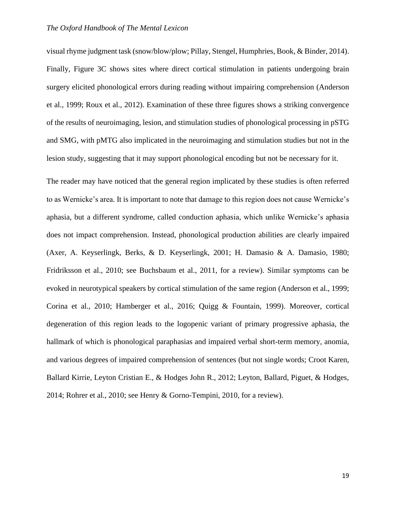visual rhyme judgment task (snow/blow/plow; Pillay, Stengel, Humphries, Book, & Binder, 2014). Finally, Figure 3C shows sites where direct cortical stimulation in patients undergoing brain surgery elicited phonological errors during reading without impairing comprehension (Anderson et al., 1999; Roux et al., 2012). Examination of these three figures shows a striking convergence of the results of neuroimaging, lesion, and stimulation studies of phonological processing in pSTG and SMG, with pMTG also implicated in the neuroimaging and stimulation studies but not in the lesion study, suggesting that it may support phonological encoding but not be necessary for it.

The reader may have noticed that the general region implicated by these studies is often referred to as Wernicke's area. It is important to note that damage to this region does not cause Wernicke's aphasia, but a different syndrome, called conduction aphasia, which unlike Wernicke's aphasia does not impact comprehension. Instead, phonological production abilities are clearly impaired (Axer, A. Keyserlingk, Berks, & D. Keyserlingk, 2001; H. Damasio & A. Damasio, 1980; Fridriksson et al., 2010; see Buchsbaum et al., 2011, for a review). Similar symptoms can be evoked in neurotypical speakers by cortical stimulation of the same region (Anderson et al., 1999; Corina et al., 2010; Hamberger et al., 2016; Quigg & Fountain, 1999). Moreover, cortical degeneration of this region leads to the logopenic variant of primary progressive aphasia, the hallmark of which is phonological paraphasias and impaired verbal short-term memory, anomia, and various degrees of impaired comprehension of sentences (but not single words; Croot Karen, Ballard Kirrie, Leyton Cristian E., & Hodges John R., 2012; Leyton, Ballard, Piguet, & Hodges, 2014; Rohrer et al., 2010; see Henry & Gorno-Tempini, 2010, for a review).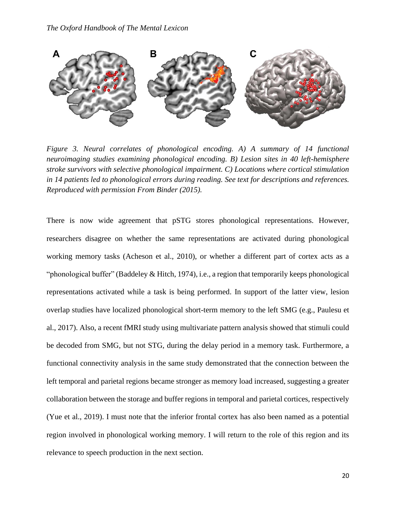

*Figure 3. Neural correlates of phonological encoding. A) A summary of 14 functional neuroimaging studies examining phonological encoding. B) Lesion sites in 40 left-hemisphere stroke survivors with selective phonological impairment. C) Locations where cortical stimulation in 14 patients led to phonological errors during reading. See text for descriptions and references. Reproduced with permission From Binder (2015).*

There is now wide agreement that pSTG stores phonological representations. However, researchers disagree on whether the same representations are activated during phonological working memory tasks (Acheson et al., 2010), or whether a different part of cortex acts as a "phonological buffer" (Baddeley & Hitch, 1974), i.e., a region that temporarily keeps phonological representations activated while a task is being performed. In support of the latter view, lesion overlap studies have localized phonological short-term memory to the left SMG (e.g., Paulesu et al., 2017). Also, a recent fMRI study using multivariate pattern analysis showed that stimuli could be decoded from SMG, but not STG, during the delay period in a memory task. Furthermore, a functional connectivity analysis in the same study demonstrated that the connection between the left temporal and parietal regions became stronger as memory load increased, suggesting a greater collaboration between the storage and buffer regions in temporal and parietal cortices, respectively (Yue et al., 2019). I must note that the inferior frontal cortex has also been named as a potential region involved in phonological working memory. I will return to the role of this region and its relevance to speech production in the next section.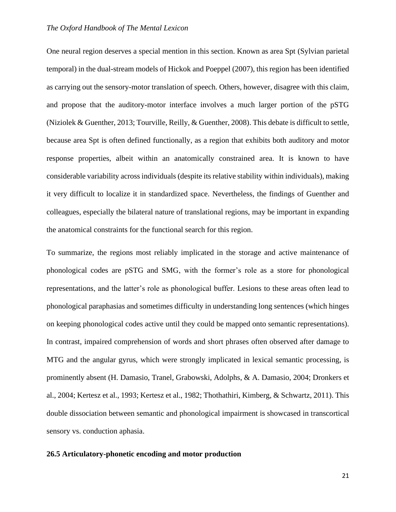One neural region deserves a special mention in this section. Known as area Spt (Sylvian parietal temporal) in the dual-stream models of Hickok and Poeppel (2007), this region has been identified as carrying out the sensory-motor translation of speech. Others, however, disagree with this claim, and propose that the auditory-motor interface involves a much larger portion of the pSTG (Niziolek & Guenther, 2013; Tourville, Reilly, & Guenther, 2008). This debate is difficult to settle, because area Spt is often defined functionally, as a region that exhibits both auditory and motor response properties, albeit within an anatomically constrained area. It is known to have considerable variability across individuals (despite its relative stability within individuals), making it very difficult to localize it in standardized space. Nevertheless, the findings of Guenther and colleagues, especially the bilateral nature of translational regions, may be important in expanding the anatomical constraints for the functional search for this region.

To summarize, the regions most reliably implicated in the storage and active maintenance of phonological codes are pSTG and SMG, with the former's role as a store for phonological representations, and the latter's role as phonological buffer. Lesions to these areas often lead to phonological paraphasias and sometimes difficulty in understanding long sentences (which hinges on keeping phonological codes active until they could be mapped onto semantic representations). In contrast, impaired comprehension of words and short phrases often observed after damage to MTG and the angular gyrus, which were strongly implicated in lexical semantic processing, is prominently absent (H. Damasio, Tranel, Grabowski, Adolphs, & A. Damasio, 2004; Dronkers et al., 2004; Kertesz et al., 1993; Kertesz et al., 1982; Thothathiri, Kimberg, & Schwartz, 2011). This double dissociation between semantic and phonological impairment is showcased in transcortical sensory vs. conduction aphasia.

#### **26.5 Articulatory-phonetic encoding and motor production**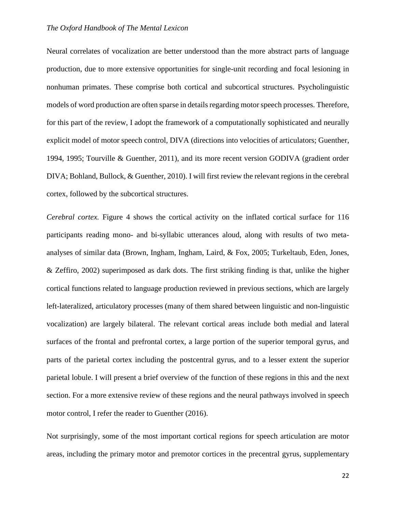Neural correlates of vocalization are better understood than the more abstract parts of language production, due to more extensive opportunities for single-unit recording and focal lesioning in nonhuman primates. These comprise both cortical and subcortical structures. Psycholinguistic models of word production are often sparse in details regarding motor speech processes. Therefore, for this part of the review, I adopt the framework of a computationally sophisticated and neurally explicit model of motor speech control, DIVA (directions into velocities of articulators; Guenther, 1994, 1995; Tourville & Guenther, 2011), and its more recent version GODIVA (gradient order DIVA; Bohland, Bullock, & Guenther, 2010). I will first review the relevant regions in the cerebral cortex, followed by the subcortical structures.

*Cerebral cortex.* Figure 4 shows the cortical activity on the inflated cortical surface for 116 participants reading mono- and bi-syllabic utterances aloud, along with results of two metaanalyses of similar data (Brown, Ingham, Ingham, Laird, & Fox, 2005; Turkeltaub, Eden, Jones, & Zeffiro, 2002) superimposed as dark dots. The first striking finding is that, unlike the higher cortical functions related to language production reviewed in previous sections, which are largely left-lateralized, articulatory processes (many of them shared between linguistic and non-linguistic vocalization) are largely bilateral. The relevant cortical areas include both medial and lateral surfaces of the frontal and prefrontal cortex, a large portion of the superior temporal gyrus, and parts of the parietal cortex including the postcentral gyrus, and to a lesser extent the superior parietal lobule. I will present a brief overview of the function of these regions in this and the next section. For a more extensive review of these regions and the neural pathways involved in speech motor control, I refer the reader to Guenther (2016).

Not surprisingly, some of the most important cortical regions for speech articulation are motor areas, including the primary motor and premotor cortices in the precentral gyrus, supplementary

22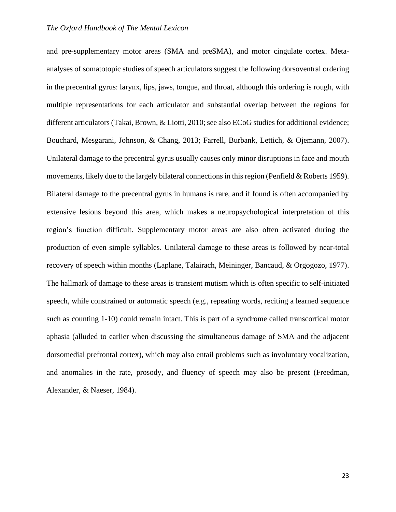and pre-supplementary motor areas (SMA and preSMA), and motor cingulate cortex. Metaanalyses of somatotopic studies of speech articulators suggest the following dorsoventral ordering in the precentral gyrus: larynx, lips, jaws, tongue, and throat, although this ordering is rough, with multiple representations for each articulator and substantial overlap between the regions for different articulators (Takai, Brown, & Liotti, 2010; see also ECoG studies for additional evidence; Bouchard, Mesgarani, Johnson, & Chang, 2013; Farrell, Burbank, Lettich, & Ojemann, 2007). Unilateral damage to the precentral gyrus usually causes only minor disruptions in face and mouth movements, likely due to the largely bilateral connections in this region (Penfield & Roberts 1959). Bilateral damage to the precentral gyrus in humans is rare, and if found is often accompanied by extensive lesions beyond this area, which makes a neuropsychological interpretation of this region's function difficult. Supplementary motor areas are also often activated during the production of even simple syllables. Unilateral damage to these areas is followed by near-total recovery of speech within months (Laplane, Talairach, Meininger, Bancaud, & Orgogozo, 1977). The hallmark of damage to these areas is transient mutism which is often specific to self-initiated speech, while constrained or automatic speech (e.g., repeating words, reciting a learned sequence such as counting 1-10) could remain intact. This is part of a syndrome called transcortical motor aphasia (alluded to earlier when discussing the simultaneous damage of SMA and the adjacent dorsomedial prefrontal cortex), which may also entail problems such as involuntary vocalization, and anomalies in the rate, prosody, and fluency of speech may also be present (Freedman, Alexander, & Naeser, 1984).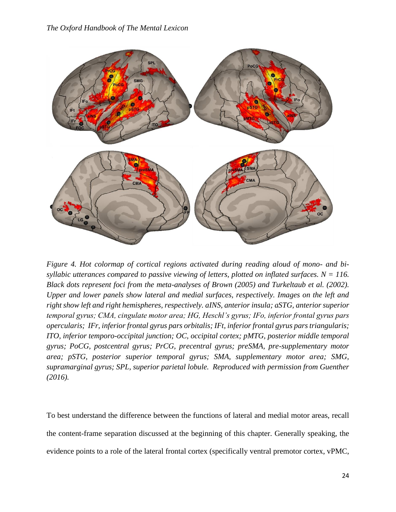

*Figure 4. Hot colormap of cortical regions activated during reading aloud of mono- and bisyllabic utterances compared to passive viewing of letters, plotted on inflated surfaces. N = 116. Black dots represent foci from the meta-analyses of Brown (2005) and Turkeltaub et al. (2002). Upper and lower panels show lateral and medial surfaces, respectively. Images on the left and right show left and right hemispheres, respectively. aINS, anterior insula; aSTG, anterior superior temporal gyrus; CMA, cingulate motor area; HG, Heschl's gyrus; IFo, inferior frontal gyrus pars opercularis; IFr, inferior frontal gyrus pars orbitalis; IFt, inferior frontal gyrus pars triangularis; ITO, inferior temporo-occipital junction; OC, occipital cortex; pMTG, posterior middle temporal gyrus; PoCG, postcentral gyrus; PrCG, precentral gyrus; preSMA, pre-supplementary motor area; pSTG, posterior superior temporal gyrus; SMA, supplementary motor area; SMG, supramarginal gyrus; SPL, superior parietal lobule. Reproduced with permission from Guenther (2016).* 

To best understand the difference between the functions of lateral and medial motor areas, recall the content-frame separation discussed at the beginning of this chapter. Generally speaking, the evidence points to a role of the lateral frontal cortex (specifically ventral premotor cortex, vPMC,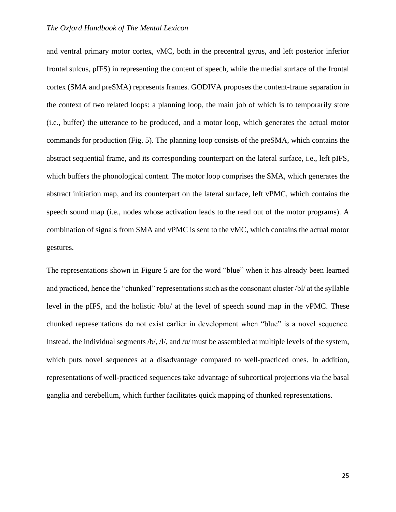and ventral primary motor cortex, vMC, both in the precentral gyrus, and left posterior inferior frontal sulcus, pIFS) in representing the content of speech, while the medial surface of the frontal cortex (SMA and preSMA) represents frames. GODIVA proposes the content-frame separation in the context of two related loops: a planning loop, the main job of which is to temporarily store (i.e., buffer) the utterance to be produced, and a motor loop, which generates the actual motor commands for production (Fig. 5). The planning loop consists of the preSMA, which contains the abstract sequential frame, and its corresponding counterpart on the lateral surface, i.e., left pIFS, which buffers the phonological content. The motor loop comprises the SMA, which generates the abstract initiation map, and its counterpart on the lateral surface, left vPMC, which contains the speech sound map (i.e., nodes whose activation leads to the read out of the motor programs). A combination of signals from SMA and vPMC is sent to the vMC, which contains the actual motor gestures.

The representations shown in Figure 5 are for the word "blue" when it has already been learned and practiced, hence the "chunked" representations such as the consonant cluster /bl/ at the syllable level in the pIFS, and the holistic /blu/ at the level of speech sound map in the vPMC. These chunked representations do not exist earlier in development when "blue" is a novel sequence. Instead, the individual segments /b/, /l/, and /u/ must be assembled at multiple levels of the system, which puts novel sequences at a disadvantage compared to well-practiced ones. In addition, representations of well-practiced sequences take advantage of subcortical projections via the basal ganglia and cerebellum, which further facilitates quick mapping of chunked representations.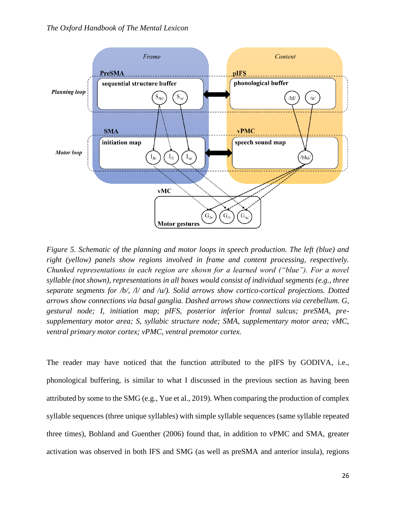

*Figure 5. Schematic of the planning and motor loops in speech production. The left (blue) and right (yellow) panels show regions involved in frame and content processing, respectively. Chunked representations in each region are shown for a learned word ("blue"). For a novel syllable (not shown), representations in all boxes would consist of individual segments (e.g., three separate segments for /b/, /l/ and /u/). Solid arrows show cortico-cortical projections. Dotted arrows show connections via basal ganglia. Dashed arrows show connections via cerebellum. G, gestural node; I, initiation map; pIFS, posterior inferior frontal sulcus; preSMA, presupplementary motor area; S, syllabic structure node; SMA, supplementary motor area; vMC, ventral primary motor cortex; vPMC, ventral premotor cortex.* 

The reader may have noticed that the function attributed to the pIFS by GODIVA, i.e., phonological buffering, is similar to what I discussed in the previous section as having been attributed by some to the SMG (e.g., Yue et al., 2019). When comparing the production of complex syllable sequences (three unique syllables) with simple syllable sequences (same syllable repeated three times), Bohland and Guenther (2006) found that, in addition to vPMC and SMA, greater activation was observed in both IFS and SMG (as well as preSMA and anterior insula), regions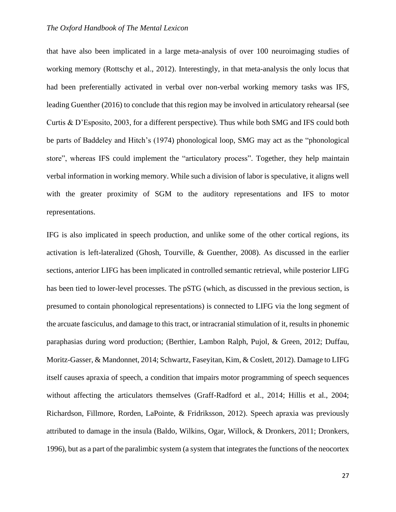that have also been implicated in a large meta-analysis of over 100 neuroimaging studies of working memory (Rottschy et al., 2012). Interestingly, in that meta-analysis the only locus that had been preferentially activated in verbal over non-verbal working memory tasks was IFS, leading Guenther (2016) to conclude that this region may be involved in articulatory rehearsal (see Curtis & D'Esposito, 2003, for a different perspective). Thus while both SMG and IFS could both be parts of Baddeley and Hitch's (1974) phonological loop, SMG may act as the "phonological store", whereas IFS could implement the "articulatory process". Together, they help maintain verbal information in working memory. While such a division of labor is speculative, it aligns well with the greater proximity of SGM to the auditory representations and IFS to motor representations.

IFG is also implicated in speech production, and unlike some of the other cortical regions, its activation is left-lateralized (Ghosh, Tourville, & Guenther, 2008). As discussed in the earlier sections, anterior LIFG has been implicated in controlled semantic retrieval, while posterior LIFG has been tied to lower-level processes. The pSTG (which, as discussed in the previous section, is presumed to contain phonological representations) is connected to LIFG via the long segment of the arcuate fasciculus, and damage to this tract, or intracranial stimulation of it, results in phonemic paraphasias during word production; (Berthier, Lambon Ralph, Pujol, & Green, 2012; Duffau, Moritz-Gasser, & Mandonnet, 2014; Schwartz, Faseyitan, Kim, & Coslett, 2012). Damage to LIFG itself causes apraxia of speech, a condition that impairs motor programming of speech sequences without affecting the articulators themselves (Graff-Radford et al., 2014; Hillis et al., 2004; Richardson, Fillmore, Rorden, LaPointe, & Fridriksson, 2012). Speech apraxia was previously attributed to damage in the insula (Baldo, Wilkins, Ogar, Willock, & Dronkers, 2011; Dronkers, 1996), but as a part of the paralimbic system (a system that integrates the functions of the neocortex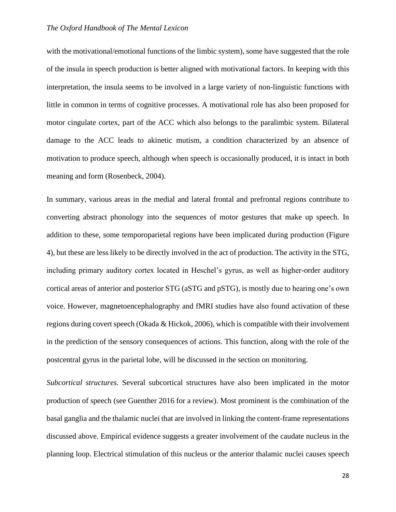with the motivational/emotional functions of the limbic system), some have suggested that the role of the insula in speech production is better aligned with motivational factors. In keeping with this interpretation, the insula seems to be involved in a large variety of non-linguistic functions with little in common in terms of cognitive processes. A motivational role has also been proposed for motor cingulate cortex, part of the ACC which also belongs to the paralimbic system. Bilateral damage to the ACC leads to akinetic mutism, a condition characterized by an absence of motivation to produce speech, although when speech is occasionally produced, it is intact in both meaning and form (Rosenbeck, 2004).

In summary, various areas in the medial and lateral frontal and prefrontal regions contribute to converting abstract phonology into the sequences of motor gestures that make up speech. In addition to these, some temporoparietal regions have been implicated during production (Figure 4), but these are less likely to be directly involved in the act of production. The activity in the STG, including primary auditory cortex located in Heschel's gyrus, as well as higher-order auditory cortical areas of anterior and posterior STG (aSTG and pSTG), is mostly due to hearing one's own voice. However, magnetoencephalography and fMRI studies have also found activation of these regions during covert speech (Okada & Hickok, 2006), which is compatible with their involvement in the prediction of the sensory consequences of actions. This function, along with the role of the postcentral gyrus in the parietal lobe, will be discussed in the section on monitoring.

*Subcortical structures.* Several subcortical structures have also been implicated in the motor production of speech (see Guenther 2016 for a review). Most prominent is the combination of the basal ganglia and the thalamic nuclei that are involved in linking the content-frame representations discussed above. Empirical evidence suggests a greater involvement of the caudate nucleus in the planning loop. Electrical stimulation of this nucleus or the anterior thalamic nuclei causes speech

28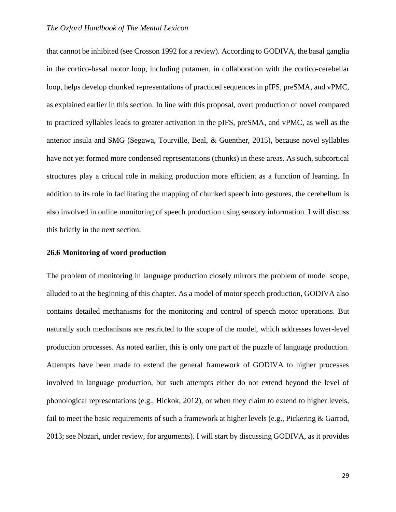that cannot be inhibited (see Crosson 1992 for a review). According to GODIVA, the basal ganglia in the cortico-basal motor loop, including putamen, in collaboration with the cortico-cerebellar loop, helps develop chunked representations of practiced sequences in pIFS, preSMA, and vPMC, as explained earlier in this section. In line with this proposal, overt production of novel compared to practiced syllables leads to greater activation in the pIFS, preSMA, and vPMC, as well as the anterior insula and SMG (Segawa, Tourville, Beal, & Guenther, 2015), because novel syllables have not yet formed more condensed representations (chunks) in these areas. As such, subcortical structures play a critical role in making production more efficient as a function of learning. In addition to its role in facilitating the mapping of chunked speech into gestures, the cerebellum is also involved in online monitoring of speech production using sensory information. I will discuss this briefly in the next section.

## **26.6 Monitoring of word production**

The problem of monitoring in language production closely mirrors the problem of model scope, alluded to at the beginning of this chapter. As a model of motor speech production, GODIVA also contains detailed mechanisms for the monitoring and control of speech motor operations. But naturally such mechanisms are restricted to the scope of the model, which addresses lower-level production processes. As noted earlier, this is only one part of the puzzle of language production. Attempts have been made to extend the general framework of GODIVA to higher processes involved in language production, but such attempts either do not extend beyond the level of phonological representations (e.g., Hickok, 2012), or when they claim to extend to higher levels, fail to meet the basic requirements of such a framework at higher levels (e.g., Pickering & Garrod, 2013; see Nozari, under review, for arguments). I will start by discussing GODIVA, as it provides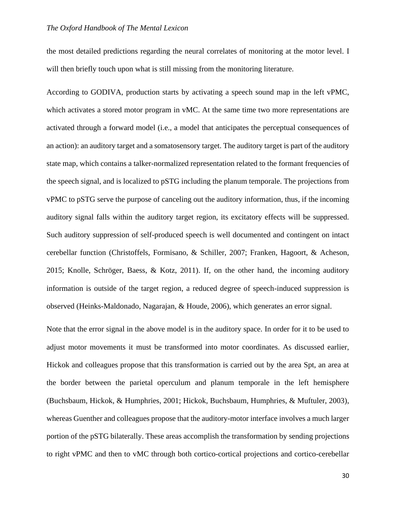the most detailed predictions regarding the neural correlates of monitoring at the motor level. I will then briefly touch upon what is still missing from the monitoring literature.

According to GODIVA, production starts by activating a speech sound map in the left vPMC, which activates a stored motor program in vMC. At the same time two more representations are activated through a forward model (i.e., a model that anticipates the perceptual consequences of an action): an auditory target and a somatosensory target. The auditory target is part of the auditory state map, which contains a talker-normalized representation related to the formant frequencies of the speech signal, and is localized to pSTG including the planum temporale. The projections from vPMC to pSTG serve the purpose of canceling out the auditory information, thus, if the incoming auditory signal falls within the auditory target region, its excitatory effects will be suppressed. Such auditory suppression of self-produced speech is well documented and contingent on intact cerebellar function (Christoffels, Formisano, & Schiller, 2007; Franken, Hagoort, & Acheson, 2015; Knolle, Schröger, Baess, & Kotz, 2011). If, on the other hand, the incoming auditory information is outside of the target region, a reduced degree of speech-induced suppression is observed (Heinks-Maldonado, Nagarajan, & Houde, 2006), which generates an error signal.

Note that the error signal in the above model is in the auditory space. In order for it to be used to adjust motor movements it must be transformed into motor coordinates. As discussed earlier, Hickok and colleagues propose that this transformation is carried out by the area Spt, an area at the border between the parietal operculum and planum temporale in the left hemisphere (Buchsbaum, Hickok, & Humphries, 2001; Hickok, Buchsbaum, Humphries, & Muftuler, 2003), whereas Guenther and colleagues propose that the auditory-motor interface involves a much larger portion of the pSTG bilaterally. These areas accomplish the transformation by sending projections to right vPMC and then to vMC through both cortico-cortical projections and cortico-cerebellar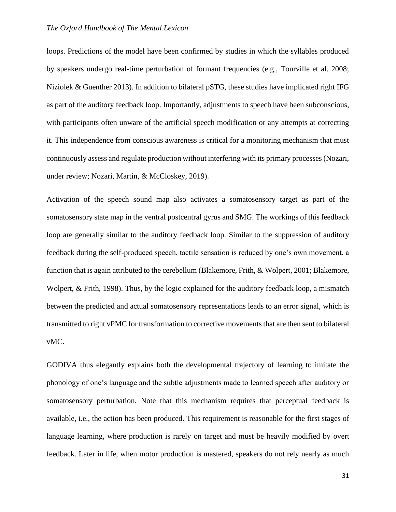loops. Predictions of the model have been confirmed by studies in which the syllables produced by speakers undergo real-time perturbation of formant frequencies (e.g., Tourville et al. 2008; Niziolek & Guenther 2013). In addition to bilateral pSTG, these studies have implicated right IFG as part of the auditory feedback loop. Importantly, adjustments to speech have been subconscious, with participants often unware of the artificial speech modification or any attempts at correcting it. This independence from conscious awareness is critical for a monitoring mechanism that must continuously assess and regulate production without interfering with its primary processes (Nozari, under review; Nozari, Martin, & McCloskey, 2019).

Activation of the speech sound map also activates a somatosensory target as part of the somatosensory state map in the ventral postcentral gyrus and SMG. The workings of this feedback loop are generally similar to the auditory feedback loop. Similar to the suppression of auditory feedback during the self-produced speech, tactile sensation is reduced by one's own movement, a function that is again attributed to the cerebellum (Blakemore, Frith, & Wolpert, 2001; Blakemore, Wolpert, & Frith, 1998). Thus, by the logic explained for the auditory feedback loop, a mismatch between the predicted and actual somatosensory representations leads to an error signal, which is transmitted to right vPMC for transformation to corrective movements that are then sent to bilateral vMC.

GODIVA thus elegantly explains both the developmental trajectory of learning to imitate the phonology of one's language and the subtle adjustments made to learned speech after auditory or somatosensory perturbation. Note that this mechanism requires that perceptual feedback is available, i.e., the action has been produced. This requirement is reasonable for the first stages of language learning, where production is rarely on target and must be heavily modified by overt feedback. Later in life, when motor production is mastered, speakers do not rely nearly as much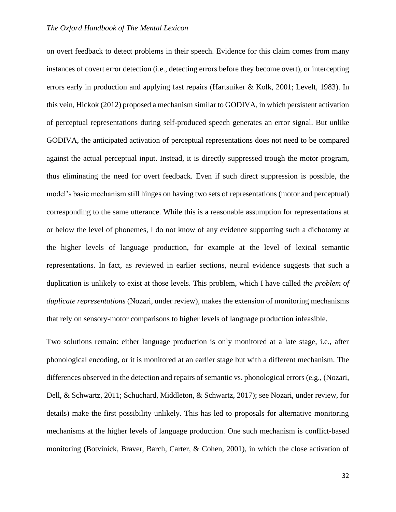on overt feedback to detect problems in their speech. Evidence for this claim comes from many instances of covert error detection (i.e., detecting errors before they become overt), or intercepting errors early in production and applying fast repairs (Hartsuiker & Kolk, 2001; Levelt, 1983). In this vein, Hickok (2012) proposed a mechanism similar to GODIVA, in which persistent activation of perceptual representations during self-produced speech generates an error signal. But unlike GODIVA, the anticipated activation of perceptual representations does not need to be compared against the actual perceptual input. Instead, it is directly suppressed trough the motor program, thus eliminating the need for overt feedback. Even if such direct suppression is possible, the model's basic mechanism still hinges on having two sets of representations (motor and perceptual) corresponding to the same utterance. While this is a reasonable assumption for representations at or below the level of phonemes, I do not know of any evidence supporting such a dichotomy at the higher levels of language production, for example at the level of lexical semantic representations. In fact, as reviewed in earlier sections, neural evidence suggests that such a duplication is unlikely to exist at those levels. This problem, which I have called *the problem of duplicate representations* (Nozari, under review), makes the extension of monitoring mechanisms that rely on sensory-motor comparisons to higher levels of language production infeasible.

Two solutions remain: either language production is only monitored at a late stage, i.e., after phonological encoding, or it is monitored at an earlier stage but with a different mechanism. The differences observed in the detection and repairs of semantic vs. phonological errors (e.g., (Nozari, Dell, & Schwartz, 2011; Schuchard, Middleton, & Schwartz, 2017); see Nozari, under review, for details) make the first possibility unlikely. This has led to proposals for alternative monitoring mechanisms at the higher levels of language production. One such mechanism is conflict-based monitoring (Botvinick, Braver, Barch, Carter, & Cohen, 2001), in which the close activation of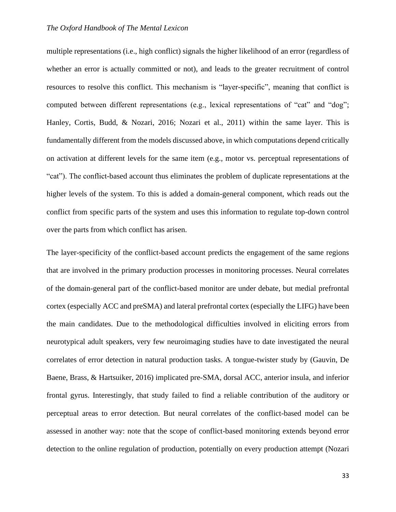multiple representations (i.e., high conflict) signals the higher likelihood of an error (regardless of whether an error is actually committed or not), and leads to the greater recruitment of control resources to resolve this conflict. This mechanism is "layer-specific", meaning that conflict is computed between different representations (e.g., lexical representations of "cat" and "dog"; Hanley, Cortis, Budd, & Nozari, 2016; Nozari et al., 2011) within the same layer. This is fundamentally different from the models discussed above, in which computations depend critically on activation at different levels for the same item (e.g., motor vs. perceptual representations of "cat"). The conflict-based account thus eliminates the problem of duplicate representations at the higher levels of the system. To this is added a domain-general component, which reads out the conflict from specific parts of the system and uses this information to regulate top-down control over the parts from which conflict has arisen.

The layer-specificity of the conflict-based account predicts the engagement of the same regions that are involved in the primary production processes in monitoring processes. Neural correlates of the domain-general part of the conflict-based monitor are under debate, but medial prefrontal cortex (especially ACC and preSMA) and lateral prefrontal cortex (especially the LIFG) have been the main candidates. Due to the methodological difficulties involved in eliciting errors from neurotypical adult speakers, very few neuroimaging studies have to date investigated the neural correlates of error detection in natural production tasks. A tongue-twister study by (Gauvin, De Baene, Brass, & Hartsuiker, 2016) implicated pre-SMA, dorsal ACC, anterior insula, and inferior frontal gyrus. Interestingly, that study failed to find a reliable contribution of the auditory or perceptual areas to error detection. But neural correlates of the conflict-based model can be assessed in another way: note that the scope of conflict-based monitoring extends beyond error detection to the online regulation of production, potentially on every production attempt (Nozari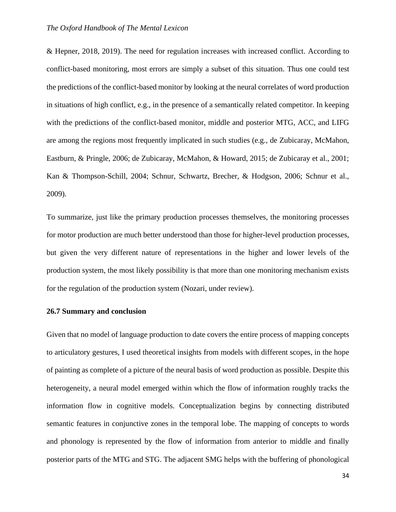& Hepner, 2018, 2019). The need for regulation increases with increased conflict. According to conflict-based monitoring, most errors are simply a subset of this situation. Thus one could test the predictions of the conflict-based monitor by looking at the neural correlates of word production in situations of high conflict, e.g., in the presence of a semantically related competitor. In keeping with the predictions of the conflict-based monitor, middle and posterior MTG, ACC, and LIFG are among the regions most frequently implicated in such studies (e.g., de Zubicaray, McMahon, Eastburn, & Pringle, 2006; de Zubicaray, McMahon, & Howard, 2015; de Zubicaray et al., 2001; Kan & Thompson-Schill, 2004; Schnur, Schwartz, Brecher, & Hodgson, 2006; Schnur et al., 2009).

To summarize, just like the primary production processes themselves, the monitoring processes for motor production are much better understood than those for higher-level production processes, but given the very different nature of representations in the higher and lower levels of the production system, the most likely possibility is that more than one monitoring mechanism exists for the regulation of the production system (Nozari, under review).

## **26.7 Summary and conclusion**

Given that no model of language production to date covers the entire process of mapping concepts to articulatory gestures, I used theoretical insights from models with different scopes, in the hope of painting as complete of a picture of the neural basis of word production as possible. Despite this heterogeneity, a neural model emerged within which the flow of information roughly tracks the information flow in cognitive models. Conceptualization begins by connecting distributed semantic features in conjunctive zones in the temporal lobe. The mapping of concepts to words and phonology is represented by the flow of information from anterior to middle and finally posterior parts of the MTG and STG. The adjacent SMG helps with the buffering of phonological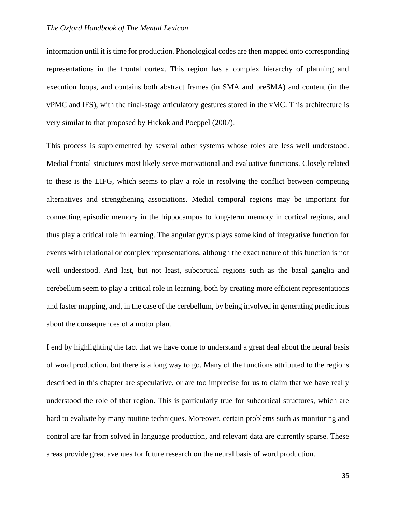information until it is time for production. Phonological codes are then mapped onto corresponding representations in the frontal cortex. This region has a complex hierarchy of planning and execution loops, and contains both abstract frames (in SMA and preSMA) and content (in the vPMC and IFS), with the final-stage articulatory gestures stored in the vMC. This architecture is very similar to that proposed by Hickok and Poeppel (2007).

This process is supplemented by several other systems whose roles are less well understood. Medial frontal structures most likely serve motivational and evaluative functions. Closely related to these is the LIFG, which seems to play a role in resolving the conflict between competing alternatives and strengthening associations. Medial temporal regions may be important for connecting episodic memory in the hippocampus to long-term memory in cortical regions, and thus play a critical role in learning. The angular gyrus plays some kind of integrative function for events with relational or complex representations, although the exact nature of this function is not well understood. And last, but not least, subcortical regions such as the basal ganglia and cerebellum seem to play a critical role in learning, both by creating more efficient representations and faster mapping, and, in the case of the cerebellum, by being involved in generating predictions about the consequences of a motor plan.

I end by highlighting the fact that we have come to understand a great deal about the neural basis of word production, but there is a long way to go. Many of the functions attributed to the regions described in this chapter are speculative, or are too imprecise for us to claim that we have really understood the role of that region. This is particularly true for subcortical structures, which are hard to evaluate by many routine techniques. Moreover, certain problems such as monitoring and control are far from solved in language production, and relevant data are currently sparse. These areas provide great avenues for future research on the neural basis of word production.

35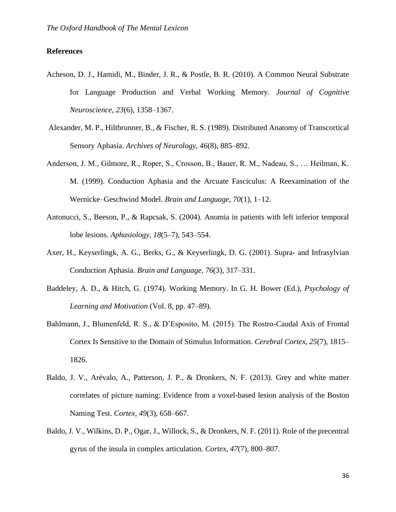## **References**

- Acheson, D. J., Hamidi, M., Binder, J. R., & Postle, B. R. (2010). A Common Neural Substrate for Language Production and Verbal Working Memory. *Journal of Cognitive Neuroscience*, *23*(6), 1358–1367.
- Alexander, M. P., Hiltbrunner, B., & Fischer, R. S. (1989). Distributed Anatomy of Transcortical Sensory Aphasia. *Archives of Neurology*, *46*(8), 885–892.
- Anderson, J. M., Gilmore, R., Roper, S., Crosson, B., Bauer, R. M., Nadeau, S., … Heilman, K. M. (1999). Conduction Aphasia and the Arcuate Fasciculus: A Reexamination of the Wernicke–Geschwind Model. *Brain and Language*, *70*(1), 1–12.
- Antonucci, S., Beeson, P., & Rapcsak, S. (2004). Anomia in patients with left inferior temporal lobe lesions. *Aphasiology*, *18*(5–7), 543–554.
- Axer, H., Keyserlingk, A. G., Berks, G., & Keyserlingk, D. G. (2001). Supra- and Infrasylvian Conduction Aphasia. *Brain and Language*, *76*(3), 317–331.
- Baddeley, A. D., & Hitch, G. (1974). Working Memory. In G. H. Bower (Ed.), *Psychology of Learning and Motivation* (Vol. 8, pp. 47–89).
- Bahlmann, J., Blumenfeld, R. S., & D'Esposito, M. (2015). The Rostro-Caudal Axis of Frontal Cortex Is Sensitive to the Domain of Stimulus Information. *Cerebral Cortex*, *25*(7), 1815– 1826.
- Baldo, J. V., Arévalo, A., Patterson, J. P., & Dronkers, N. F. (2013). Grey and white matter correlates of picture naming: Evidence from a voxel-based lesion analysis of the Boston Naming Test. *Cortex*, *49*(3), 658–667.
- Baldo, J. V., Wilkins, D. P., Ogar, J., Willock, S., & Dronkers, N. F. (2011). Role of the precentral gyrus of the insula in complex articulation. *Cortex*, *47*(7), 800–807.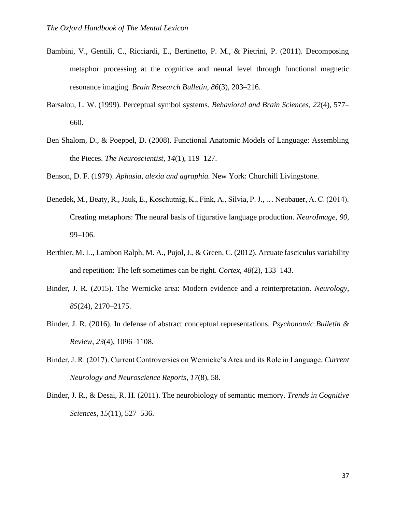- Bambini, V., Gentili, C., Ricciardi, E., Bertinetto, P. M., & Pietrini, P. (2011). Decomposing metaphor processing at the cognitive and neural level through functional magnetic resonance imaging. *Brain Research Bulletin*, *86*(3), 203–216.
- Barsalou, L. W. (1999). Perceptual symbol systems. *Behavioral and Brain Sciences*, *22*(4), 577– 660.
- Ben Shalom, D., & Poeppel, D. (2008). Functional Anatomic Models of Language: Assembling the Pieces. *The Neuroscientist*, *14*(1), 119–127.

Benson, D. F. (1979). *Aphasia, alexia and agraphia.* New York: Churchill Livingstone.

- Benedek, M., Beaty, R., Jauk, E., Koschutnig, K., Fink, A., Silvia, P. J., … Neubauer, A. C. (2014). Creating metaphors: The neural basis of figurative language production. *NeuroImage*, *90*, 99–106.
- Berthier, M. L., Lambon Ralph, M. A., Pujol, J., & Green, C. (2012). Arcuate fasciculus variability and repetition: The left sometimes can be right. *Cortex*, *48*(2), 133–143.
- Binder, J. R. (2015). The Wernicke area: Modern evidence and a reinterpretation. *Neurology*, *85*(24), 2170–2175.
- Binder, J. R. (2016). In defense of abstract conceptual representations. *Psychonomic Bulletin & Review*, *23*(4), 1096–1108.
- Binder, J. R. (2017). Current Controversies on Wernicke's Area and its Role in Language. *Current Neurology and Neuroscience Reports*, *17*(8), 58.
- Binder, J. R., & Desai, R. H. (2011). The neurobiology of semantic memory. *Trends in Cognitive Sciences*, *15*(11), 527–536.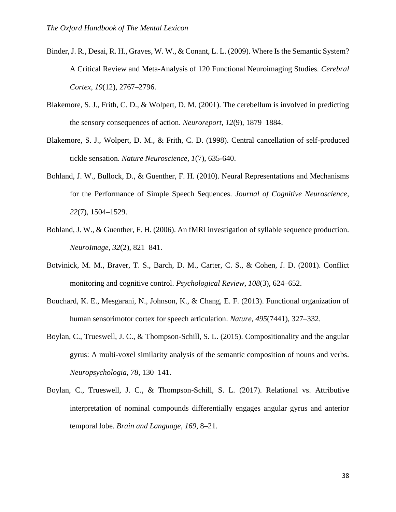- Binder, J. R., Desai, R. H., Graves, W. W., & Conant, L. L. (2009). Where Is the Semantic System? A Critical Review and Meta-Analysis of 120 Functional Neuroimaging Studies. *Cerebral Cortex*, *19*(12), 2767–2796.
- Blakemore, S. J., Frith, C. D., & Wolpert, D. M. (2001). The cerebellum is involved in predicting the sensory consequences of action. *Neuroreport*, *12*(9), 1879–1884.
- Blakemore, S. J., Wolpert, D. M., & Frith, C. D. (1998). Central cancellation of self-produced tickle sensation. *Nature Neuroscience*, *1*(7), 635-640.
- Bohland, J. W., Bullock, D., & Guenther, F. H. (2010). Neural Representations and Mechanisms for the Performance of Simple Speech Sequences. *Journal of Cognitive Neuroscience*, *22*(7), 1504–1529.
- Bohland, J. W., & Guenther, F. H. (2006). An fMRI investigation of syllable sequence production. *NeuroImage*, *32*(2), 821–841.
- Botvinick, M. M., Braver, T. S., Barch, D. M., Carter, C. S., & Cohen, J. D. (2001). Conflict monitoring and cognitive control. *Psychological Review*, *108*(3), 624–652.
- Bouchard, K. E., Mesgarani, N., Johnson, K., & Chang, E. F. (2013). Functional organization of human sensorimotor cortex for speech articulation. *Nature*, *495*(7441), 327–332.
- Boylan, C., Trueswell, J. C., & Thompson-Schill, S. L. (2015). Compositionality and the angular gyrus: A multi-voxel similarity analysis of the semantic composition of nouns and verbs. *Neuropsychologia*, *78*, 130–141.
- Boylan, C., Trueswell, J. C., & Thompson-Schill, S. L. (2017). Relational vs. Attributive interpretation of nominal compounds differentially engages angular gyrus and anterior temporal lobe. *Brain and Language*, *169*, 8–21.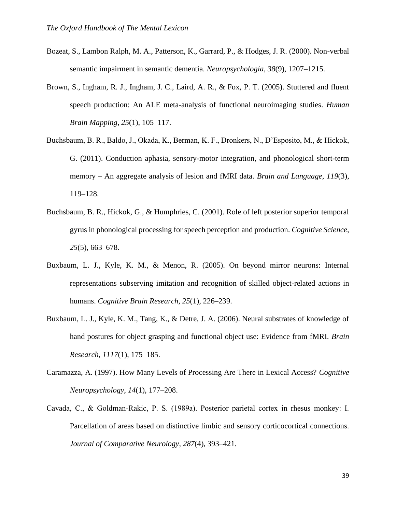- Bozeat, S., Lambon Ralph, M. A., Patterson, K., Garrard, P., & Hodges, J. R. (2000). Non-verbal semantic impairment in semantic dementia. *Neuropsychologia*, *38*(9), 1207–1215.
- Brown, S., Ingham, R. J., Ingham, J. C., Laird, A. R., & Fox, P. T. (2005). Stuttered and fluent speech production: An ALE meta-analysis of functional neuroimaging studies. *Human Brain Mapping*, *25*(1), 105–117.
- Buchsbaum, B. R., Baldo, J., Okada, K., Berman, K. F., Dronkers, N., D'Esposito, M., & Hickok, G. (2011). Conduction aphasia, sensory-motor integration, and phonological short-term memory – An aggregate analysis of lesion and fMRI data. *Brain and Language*, *119*(3), 119–128.
- Buchsbaum, B. R., Hickok, G., & Humphries, C. (2001). Role of left posterior superior temporal gyrus in phonological processing for speech perception and production. *Cognitive Science*, *25*(5), 663–678.
- Buxbaum, L. J., Kyle, K. M., & Menon, R. (2005). On beyond mirror neurons: Internal representations subserving imitation and recognition of skilled object-related actions in humans. *Cognitive Brain Research*, *25*(1), 226–239.
- Buxbaum, L. J., Kyle, K. M., Tang, K., & Detre, J. A. (2006). Neural substrates of knowledge of hand postures for object grasping and functional object use: Evidence from fMRI. *Brain Research*, *1117*(1), 175–185.
- Caramazza, A. (1997). How Many Levels of Processing Are There in Lexical Access? *Cognitive Neuropsychology*, *14*(1), 177–208.
- Cavada, C., & Goldman‐Rakic, P. S. (1989a). Posterior parietal cortex in rhesus monkey: I. Parcellation of areas based on distinctive limbic and sensory corticocortical connections. *Journal of Comparative Neurology*, *287*(4), 393–421.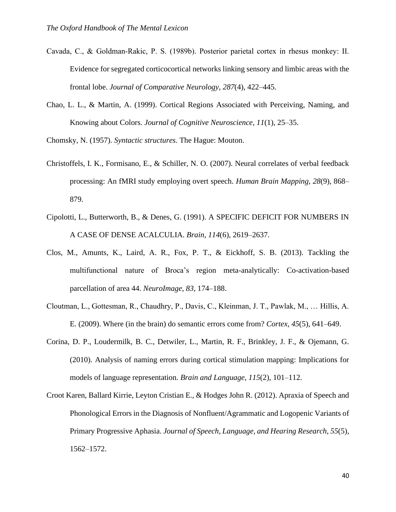- Cavada, C., & Goldman‐Rakic, P. S. (1989b). Posterior parietal cortex in rhesus monkey: II. Evidence for segregated corticocortical networks linking sensory and limbic areas with the frontal lobe. *Journal of Comparative Neurology*, *287*(4), 422–445.
- Chao, L. L., & Martin, A. (1999). Cortical Regions Associated with Perceiving, Naming, and Knowing about Colors. *Journal of Cognitive Neuroscience*, *11*(1), 25–35.

Chomsky, N. (1957). *Syntactic structures.* The Hague: Mouton.

- Christoffels, I. K., Formisano, E., & Schiller, N. O. (2007). Neural correlates of verbal feedback processing: An fMRI study employing overt speech. *Human Brain Mapping*, *28*(9), 868– 879.
- Cipolotti, L., Butterworth, B., & Denes, G. (1991). A SPECIFIC DEFICIT FOR NUMBERS IN A CASE OF DENSE ACALCULIA. *Brain*, *114*(6), 2619–2637.
- Clos, M., Amunts, K., Laird, A. R., Fox, P. T., & Eickhoff, S. B. (2013). Tackling the multifunctional nature of Broca's region meta-analytically: Co-activation-based parcellation of area 44. *NeuroImage*, *83*, 174–188.
- Cloutman, L., Gottesman, R., Chaudhry, P., Davis, C., Kleinman, J. T., Pawlak, M., … Hillis, A. E. (2009). Where (in the brain) do semantic errors come from? *Cortex*, *45*(5), 641–649.
- Corina, D. P., Loudermilk, B. C., Detwiler, L., Martin, R. F., Brinkley, J. F., & Ojemann, G. (2010). Analysis of naming errors during cortical stimulation mapping: Implications for models of language representation. *Brain and Language*, *115*(2), 101–112.
- Croot Karen, Ballard Kirrie, Leyton Cristian E., & Hodges John R. (2012). Apraxia of Speech and Phonological Errors in the Diagnosis of Nonfluent/Agrammatic and Logopenic Variants of Primary Progressive Aphasia. *Journal of Speech, Language, and Hearing Research*, *55*(5), 1562–1572.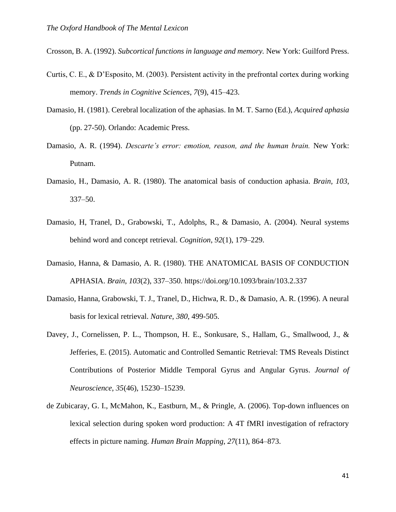Crosson, B. A. (1992). *Subcortical functions in language and memory.* New York: Guilford Press.

- Curtis, C. E., & D'Esposito, M. (2003). Persistent activity in the prefrontal cortex during working memory. *Trends in Cognitive Sciences*, *7*(9), 415–423.
- Damasio, H. (1981). Cerebral localization of the aphasias. In M. T. Sarno (Ed.), *Acquired aphasia*  (pp. 27-50). Orlando: Academic Press.
- Damasio, A. R. (1994). *Descarte's error: emotion, reason, and the human brain.* New York: Putnam.
- Damasio, H., Damasio, A. R. (1980). The anatomical basis of conduction aphasia. *Brain, 103*, 337–50.
- Damasio, H, Tranel, D., Grabowski, T., Adolphs, R., & Damasio, A. (2004). Neural systems behind word and concept retrieval. *Cognition*, *92*(1), 179–229.
- Damasio, Hanna, & Damasio, A. R. (1980). THE ANATOMICAL BASIS OF CONDUCTION APHASIA. *Brain*, *103*(2), 337–350. https://doi.org/10.1093/brain/103.2.337
- Damasio, Hanna, Grabowski, T. J., Tranel, D., Hichwa, R. D., & Damasio, A. R. (1996). A neural basis for lexical retrieval. *Nature*, *380*, 499-505.
- Davey, J., Cornelissen, P. L., Thompson, H. E., Sonkusare, S., Hallam, G., Smallwood, J., & Jefferies, E. (2015). Automatic and Controlled Semantic Retrieval: TMS Reveals Distinct Contributions of Posterior Middle Temporal Gyrus and Angular Gyrus. *Journal of Neuroscience*, *35*(46), 15230–15239.
- de Zubicaray, G. I., McMahon, K., Eastburn, M., & Pringle, A. (2006). Top-down influences on lexical selection during spoken word production: A 4T fMRI investigation of refractory effects in picture naming. *Human Brain Mapping*, *27*(11), 864–873.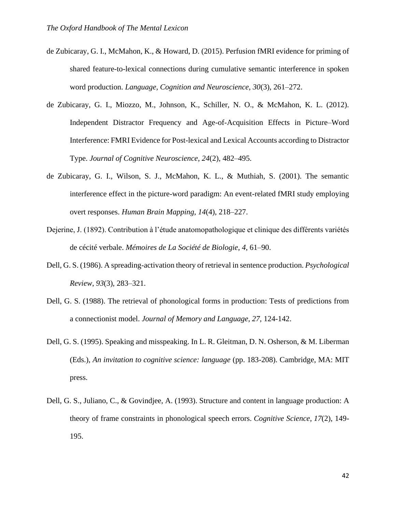- de Zubicaray, G. I., McMahon, K., & Howard, D. (2015). Perfusion fMRI evidence for priming of shared feature-to-lexical connections during cumulative semantic interference in spoken word production. *Language, Cognition and Neuroscience*, *30*(3), 261–272.
- de Zubicaray, G. I., Miozzo, M., Johnson, K., Schiller, N. O., & McMahon, K. L. (2012). Independent Distractor Frequency and Age-of-Acquisition Effects in Picture–Word Interference: FMRI Evidence for Post-lexical and Lexical Accounts according to Distractor Type. *Journal of Cognitive Neuroscience*, *24*(2), 482–495.
- de Zubicaray, G. I., Wilson, S. J., McMahon, K. L., & Muthiah, S. (2001). The semantic interference effect in the picture-word paradigm: An event-related fMRI study employing overt responses. *Human Brain Mapping*, *14*(4), 218–227.
- Dejerine, J. (1892). Contribution à l'étude anatomopathologique et clinique des différents variétés de cécité verbale. *Mémoires de La Société de Biologie*, *4*, 61–90.
- Dell, G. S. (1986). A spreading-activation theory of retrieval in sentence production. *Psychological Review*, *93*(3), 283–321.
- Dell, G. S. (1988). The retrieval of phonological forms in production: Tests of predictions from a connectionist model. *Journal of Memory and Language, 27,* 124-142.
- Dell, G. S. (1995). Speaking and misspeaking. In L. R. Gleitman, D. N. Osherson, & M. Liberman (Eds.), *An invitation to cognitive science: language* (pp. 183-208). Cambridge, MA: MIT press.
- Dell, G. S., Juliano, C., & Govindjee, A. (1993). Structure and content in language production: A theory of frame constraints in phonological speech errors. *Cognitive Science*, *17*(2), 149- 195.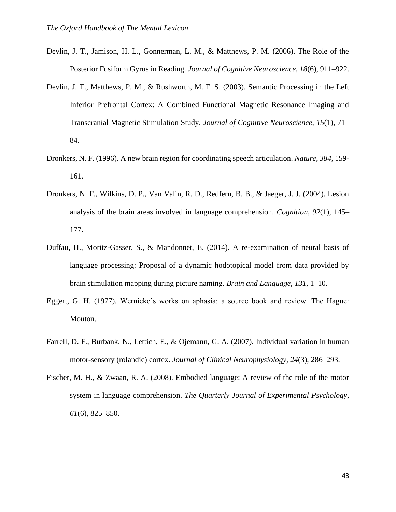- Devlin, J. T., Jamison, H. L., Gonnerman, L. M., & Matthews, P. M. (2006). The Role of the Posterior Fusiform Gyrus in Reading. *Journal of Cognitive Neuroscience*, *18*(6), 911–922.
- Devlin, J. T., Matthews, P. M., & Rushworth, M. F. S. (2003). Semantic Processing in the Left Inferior Prefrontal Cortex: A Combined Functional Magnetic Resonance Imaging and Transcranial Magnetic Stimulation Study. *Journal of Cognitive Neuroscience*, *15*(1), 71– 84.
- Dronkers, N. F. (1996). A new brain region for coordinating speech articulation. *Nature*, *384*, 159- 161.
- Dronkers, N. F., Wilkins, D. P., Van Valin, R. D., Redfern, B. B., & Jaeger, J. J. (2004). Lesion analysis of the brain areas involved in language comprehension. *Cognition*, *92*(1), 145– 177.
- Duffau, H., Moritz-Gasser, S., & Mandonnet, E. (2014). A re-examination of neural basis of language processing: Proposal of a dynamic hodotopical model from data provided by brain stimulation mapping during picture naming. *Brain and Language*, *131*, 1–10.
- Eggert, G. H. (1977). Wernicke's works on aphasia: a source book and review. The Hague: Mouton.
- Farrell, D. F., Burbank, N., Lettich, E., & Ojemann, G. A. (2007). Individual variation in human motor-sensory (rolandic) cortex. *Journal of Clinical Neurophysiology*, *24*(3), 286–293.
- Fischer, M. H., & Zwaan, R. A. (2008). Embodied language: A review of the role of the motor system in language comprehension. *The Quarterly Journal of Experimental Psychology*, *61*(6), 825–850.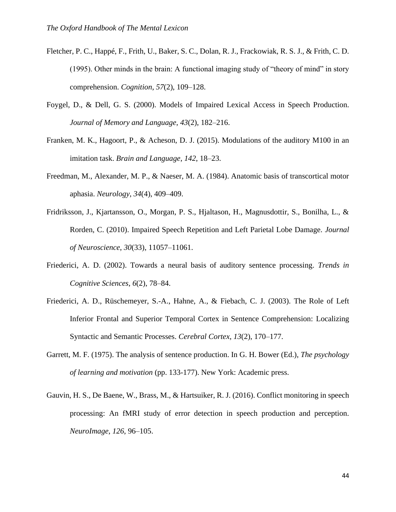- Fletcher, P. C., Happé, F., Frith, U., Baker, S. C., Dolan, R. J., Frackowiak, R. S. J., & Frith, C. D. (1995). Other minds in the brain: A functional imaging study of "theory of mind" in story comprehension. *Cognition*, *57*(2), 109–128.
- Foygel, D., & Dell, G. S. (2000). Models of Impaired Lexical Access in Speech Production. *Journal of Memory and Language*, *43*(2), 182–216.
- Franken, M. K., Hagoort, P., & Acheson, D. J. (2015). Modulations of the auditory M100 in an imitation task. *Brain and Language*, *142*, 18–23.
- Freedman, M., Alexander, M. P., & Naeser, M. A. (1984). Anatomic basis of transcortical motor aphasia. *Neurology*, *34*(4), 409–409.
- Fridriksson, J., Kjartansson, O., Morgan, P. S., Hjaltason, H., Magnusdottir, S., Bonilha, L., & Rorden, C. (2010). Impaired Speech Repetition and Left Parietal Lobe Damage. *Journal of Neuroscience*, *30*(33), 11057–11061.
- Friederici, A. D. (2002). Towards a neural basis of auditory sentence processing. *Trends in Cognitive Sciences*, *6*(2), 78–84.
- Friederici, A. D., Rüschemeyer, S.-A., Hahne, A., & Fiebach, C. J. (2003). The Role of Left Inferior Frontal and Superior Temporal Cortex in Sentence Comprehension: Localizing Syntactic and Semantic Processes. *Cerebral Cortex*, *13*(2), 170–177.
- Garrett, M. F. (1975). The analysis of sentence production. In G. H. Bower (Ed.), *The psychology of learning and motivation* (pp. 133-177). New York: Academic press.
- Gauvin, H. S., De Baene, W., Brass, M., & Hartsuiker, R. J. (2016). Conflict monitoring in speech processing: An fMRI study of error detection in speech production and perception. *NeuroImage*, *126*, 96–105.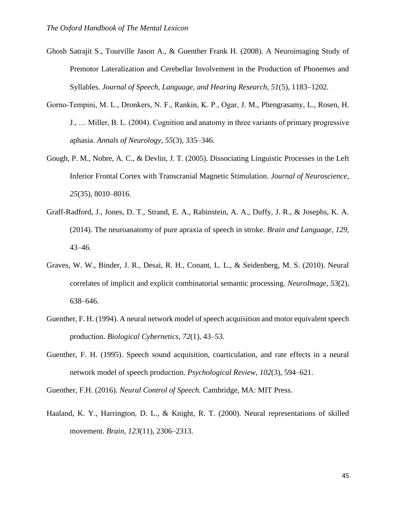- Ghosh Satrajit S., Tourville Jason A., & Guenther Frank H. (2008). A Neuroimaging Study of Premotor Lateralization and Cerebellar Involvement in the Production of Phonemes and Syllables. *Journal of Speech, Language, and Hearing Research*, *51*(5), 1183–1202.
- Gorno‐Tempini, M. L., Dronkers, N. F., Rankin, K. P., Ogar, J. M., Phengrasamy, L., Rosen, H. J., … Miller, B. L. (2004). Cognition and anatomy in three variants of primary progressive aphasia. *Annals of Neurology*, *55*(3), 335–346.
- Gough, P. M., Nobre, A. C., & Devlin, J. T. (2005). Dissociating Linguistic Processes in the Left Inferior Frontal Cortex with Transcranial Magnetic Stimulation. *Journal of Neuroscience*, *25*(35), 8010–8016.
- Graff-Radford, J., Jones, D. T., Strand, E. A., Rabinstein, A. A., Duffy, J. R., & Josephs, K. A. (2014). The neuroanatomy of pure apraxia of speech in stroke. *Brain and Language*, *129*, 43–46.
- Graves, W. W., Binder, J. R., Desai, R. H., Conant, L. L., & Seidenberg, M. S. (2010). Neural correlates of implicit and explicit combinatorial semantic processing. *NeuroImage*, *53*(2), 638–646.
- Guenther, F. H. (1994). A neural network model of speech acquisition and motor equivalent speech production. *Biological Cybernetics*, *72*(1), 43–53.
- Guenther, F. H. (1995). Speech sound acquisition, coarticulation, and rate effects in a neural network model of speech production. *Psychological Review*, *102*(3), 594–621.

Guenther, F.H. (2016). *Neural Control of Speech.* Cambridge, MA: MIT Press.

Haaland, K. Y., Harrington, D. L., & Knight, R. T. (2000). Neural representations of skilled movement. *Brain*, *123*(11), 2306–2313.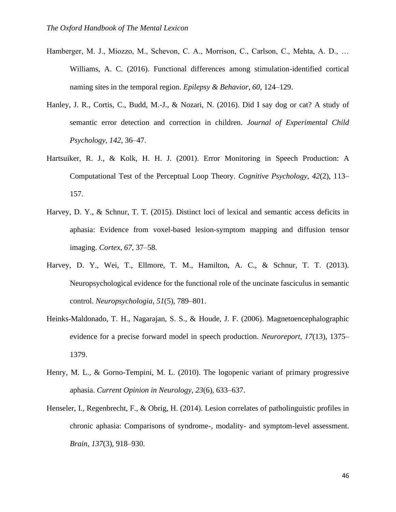- Hamberger, M. J., Miozzo, M., Schevon, C. A., Morrison, C., Carlson, C., Mehta, A. D., … Williams, A. C. (2016). Functional differences among stimulation-identified cortical naming sites in the temporal region. *Epilepsy & Behavior*, *60*, 124–129.
- Hanley, J. R., Cortis, C., Budd, M.-J., & Nozari, N. (2016). Did I say dog or cat? A study of semantic error detection and correction in children. *Journal of Experimental Child Psychology*, *142*, 36–47.
- Hartsuiker, R. J., & Kolk, H. H. J. (2001). Error Monitoring in Speech Production: A Computational Test of the Perceptual Loop Theory. *Cognitive Psychology*, *42*(2), 113– 157.
- Harvey, D. Y., & Schnur, T. T. (2015). Distinct loci of lexical and semantic access deficits in aphasia: Evidence from voxel-based lesion-symptom mapping and diffusion tensor imaging. *Cortex*, *67*, 37–58.
- Harvey, D. Y., Wei, T., Ellmore, T. M., Hamilton, A. C., & Schnur, T. T. (2013). Neuropsychological evidence for the functional role of the uncinate fasciculus in semantic control. *Neuropsychologia*, *51*(5), 789–801.
- Heinks-Maldonado, T. H., Nagarajan, S. S., & Houde, J. F. (2006). Magnetoencephalographic evidence for a precise forward model in speech production. *Neuroreport*, *17*(13), 1375– 1379.
- Henry, M. L., & Gorno-Tempini, M. L. (2010). The logopenic variant of primary progressive aphasia. *Current Opinion in Neurology*, *23*(6), 633–637.
- Henseler, I., Regenbrecht, F., & Obrig, H. (2014). Lesion correlates of patholinguistic profiles in chronic aphasia: Comparisons of syndrome-, modality- and symptom-level assessment. *Brain*, *137*(3), 918–930.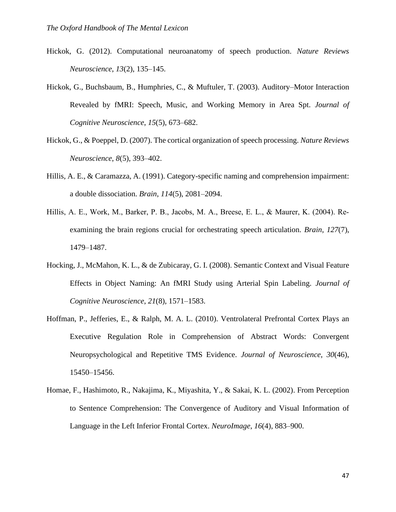- Hickok, G. (2012). Computational neuroanatomy of speech production. *Nature Reviews Neuroscience*, *13*(2), 135–145.
- Hickok, G., Buchsbaum, B., Humphries, C., & Muftuler, T. (2003). Auditory–Motor Interaction Revealed by fMRI: Speech, Music, and Working Memory in Area Spt. *Journal of Cognitive Neuroscience*, *15*(5), 673–682.
- Hickok, G., & Poeppel, D. (2007). The cortical organization of speech processing. *Nature Reviews Neuroscience*, *8*(5), 393–402.
- Hillis, A. E., & Caramazza, A. (1991). Category-specific naming and comprehension impairment: a double dissociation. *Brain*, *114*(5), 2081–2094.
- Hillis, A. E., Work, M., Barker, P. B., Jacobs, M. A., Breese, E. L., & Maurer, K. (2004). Re‐ examining the brain regions crucial for orchestrating speech articulation. *Brain*, *127*(7), 1479–1487.
- Hocking, J., McMahon, K. L., & de Zubicaray, G. I. (2008). Semantic Context and Visual Feature Effects in Object Naming: An fMRI Study using Arterial Spin Labeling. *Journal of Cognitive Neuroscience*, *21*(8), 1571–1583.
- Hoffman, P., Jefferies, E., & Ralph, M. A. L. (2010). Ventrolateral Prefrontal Cortex Plays an Executive Regulation Role in Comprehension of Abstract Words: Convergent Neuropsychological and Repetitive TMS Evidence. *Journal of Neuroscience*, *30*(46), 15450–15456.
- Homae, F., Hashimoto, R., Nakajima, K., Miyashita, Y., & Sakai, K. L. (2002). From Perception to Sentence Comprehension: The Convergence of Auditory and Visual Information of Language in the Left Inferior Frontal Cortex. *NeuroImage*, *16*(4), 883–900.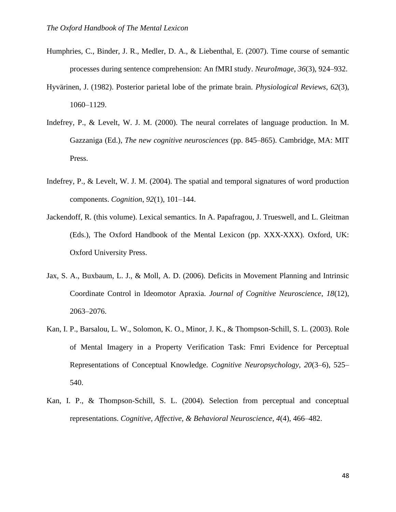- Humphries, C., Binder, J. R., Medler, D. A., & Liebenthal, E. (2007). Time course of semantic processes during sentence comprehension: An fMRI study. *NeuroImage*, *36*(3), 924–932.
- Hyvärinen, J. (1982). Posterior parietal lobe of the primate brain. *Physiological Reviews*, *62*(3), 1060–1129.
- Indefrey, P., & Levelt, W. J. M. (2000). The neural correlates of language production. In M. Gazzaniga (Ed.), *The new cognitive neurosciences* (pp. 845–865). Cambridge, MA: MIT Press.
- Indefrey, P., & Levelt, W. J. M. (2004). The spatial and temporal signatures of word production components. *Cognition*, *92*(1), 101–144.
- Jackendoff, R. (this volume). Lexical semantics. In A. Papafragou, J. Trueswell, and L. Gleitman (Eds.), The Oxford Handbook of the Mental Lexicon (pp. XXX-XXX). Oxford, UK: Oxford University Press.
- Jax, S. A., Buxbaum, L. J., & Moll, A. D. (2006). Deficits in Movement Planning and Intrinsic Coordinate Control in Ideomotor Apraxia. *Journal of Cognitive Neuroscience*, *18*(12), 2063–2076.
- Kan, I. P., Barsalou, L. W., Solomon, K. O., Minor, J. K., & Thompson-Schill, S. L. (2003). Role of Mental Imagery in a Property Verification Task: Fmri Evidence for Perceptual Representations of Conceptual Knowledge. *Cognitive Neuropsychology*, *20*(3–6), 525– 540.
- Kan, I. P., & Thompson-Schill, S. L. (2004). Selection from perceptual and conceptual representations. *Cognitive, Affective, & Behavioral Neuroscience*, *4*(4), 466–482.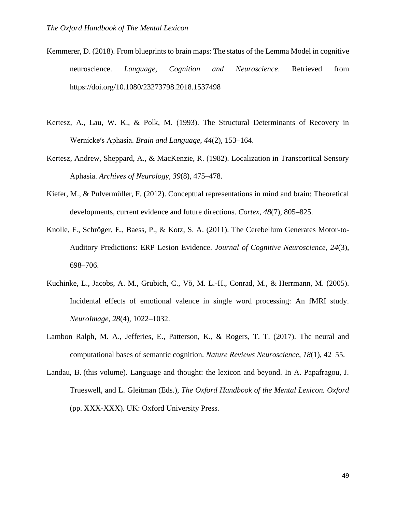- Kemmerer, D. (2018). From blueprints to brain maps: The status of the Lemma Model in cognitive neuroscience. *Language, Cognition and Neuroscience*. Retrieved from https://doi.org/10.1080/23273798.2018.1537498
- Kertesz, A., Lau, W. K., & Polk, M. (1993). The Structural Determinants of Recovery in Wernicke′s Aphasia. *Brain and Language*, *44*(2), 153–164.
- Kertesz, Andrew, Sheppard, A., & MacKenzie, R. (1982). Localization in Transcortical Sensory Aphasia. *Archives of Neurology*, *39*(8), 475–478.
- Kiefer, M., & Pulvermüller, F. (2012). Conceptual representations in mind and brain: Theoretical developments, current evidence and future directions. *Cortex*, *48*(7), 805–825.
- Knolle, F., Schröger, E., Baess, P., & Kotz, S. A. (2011). The Cerebellum Generates Motor-to-Auditory Predictions: ERP Lesion Evidence. *Journal of Cognitive Neuroscience*, *24*(3), 698–706.
- Kuchinke, L., Jacobs, A. M., Grubich, C., Võ, M. L.-H., Conrad, M., & Herrmann, M. (2005). Incidental effects of emotional valence in single word processing: An fMRI study. *NeuroImage*, *28*(4), 1022–1032.
- Lambon Ralph, M. A., Jefferies, E., Patterson, K., & Rogers, T. T. (2017). The neural and computational bases of semantic cognition. *Nature Reviews Neuroscience*, *18*(1), 42–55.
- Landau, B. (this volume). Language and thought: the lexicon and beyond. In A. Papafragou, J. Trueswell, and L. Gleitman (Eds.), *The Oxford Handbook of the Mental Lexicon. Oxford* (pp. XXX-XXX). UK: Oxford University Press.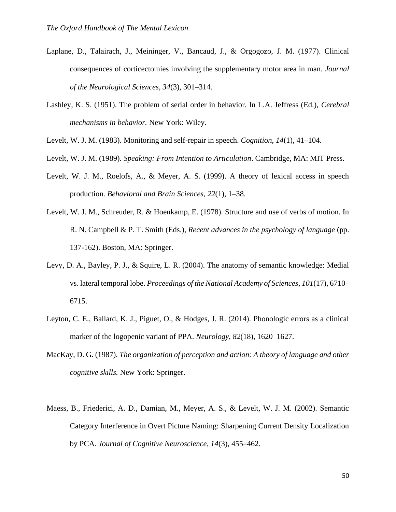- Laplane, D., Talairach, J., Meininger, V., Bancaud, J., & Orgogozo, J. M. (1977). Clinical consequences of corticectomies involving the supplementary motor area in man. *Journal of the Neurological Sciences*, *34*(3), 301–314.
- Lashley, K. S. (1951). The problem of serial order in behavior. In L.A. Jeffress (Ed.), *Cerebral mechanisms in behavior.* New York: Wiley.
- Levelt, W. J. M. (1983). Monitoring and self-repair in speech. *Cognition*, *14*(1), 41–104.
- Levelt, W. J. M. (1989). *Speaking: From Intention to Articulation*. Cambridge, MA: MIT Press.
- Levelt, W. J. M., Roelofs, A., & Meyer, A. S. (1999). A theory of lexical access in speech production. *Behavioral and Brain Sciences*, *22*(1), 1–38.
- Levelt, W. J. M., Schreuder, R. & Hoenkamp, E. (1978). Structure and use of verbs of motion. In R. N. Campbell & P. T. Smith (Eds.), *Recent advances in the psychology of language* (pp. 137-162). Boston, MA: Springer.
- Levy, D. A., Bayley, P. J., & Squire, L. R. (2004). The anatomy of semantic knowledge: Medial vs. lateral temporal lobe. *Proceedings of the National Academy of Sciences*, *101*(17), 6710– 6715.
- Leyton, C. E., Ballard, K. J., Piguet, O., & Hodges, J. R. (2014). Phonologic errors as a clinical marker of the logopenic variant of PPA. *Neurology*, *82*(18), 1620–1627.
- MacKay, D. G. (1987). *The organization of perception and action: A theory of language and other cognitive skills.* New York: Springer.
- Maess, B., Friederici, A. D., Damian, M., Meyer, A. S., & Levelt, W. J. M. (2002). Semantic Category Interference in Overt Picture Naming: Sharpening Current Density Localization by PCA. *Journal of Cognitive Neuroscience*, *14*(3), 455–462.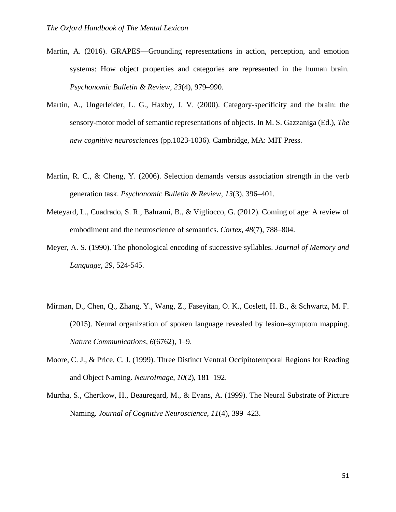- Martin, A. (2016). GRAPES—Grounding representations in action, perception, and emotion systems: How object properties and categories are represented in the human brain. *Psychonomic Bulletin & Review*, *23*(4), 979–990.
- Martin, A., Ungerleider, L. G., Haxby, J. V. (2000). Category-specificity and the brain: the sensory-motor model of semantic representations of objects. In M. S. Gazzaniga (Ed.), *The new cognitive neurosciences* (pp.1023-1036). Cambridge, MA: MIT Press.
- Martin, R. C., & Cheng, Y. (2006). Selection demands versus association strength in the verb generation task. *Psychonomic Bulletin & Review*, *13*(3), 396–401.
- Meteyard, L., Cuadrado, S. R., Bahrami, B., & Vigliocco, G. (2012). Coming of age: A review of embodiment and the neuroscience of semantics. *Cortex*, *48*(7), 788–804.
- Meyer, A. S. (1990). The phonological encoding of successive syllables. *Journal of Memory and Language, 29,* 524-545.
- Mirman, D., Chen, Q., Zhang, Y., Wang, Z., Faseyitan, O. K., Coslett, H. B., & Schwartz, M. F. (2015). Neural organization of spoken language revealed by lesion–symptom mapping. *Nature Communications*, *6*(6762), 1–9.
- Moore, C. J., & Price, C. J. (1999). Three Distinct Ventral Occipitotemporal Regions for Reading and Object Naming. *NeuroImage*, *10*(2), 181–192.
- Murtha, S., Chertkow, H., Beauregard, M., & Evans, A. (1999). The Neural Substrate of Picture Naming. *Journal of Cognitive Neuroscience*, *11*(4), 399–423.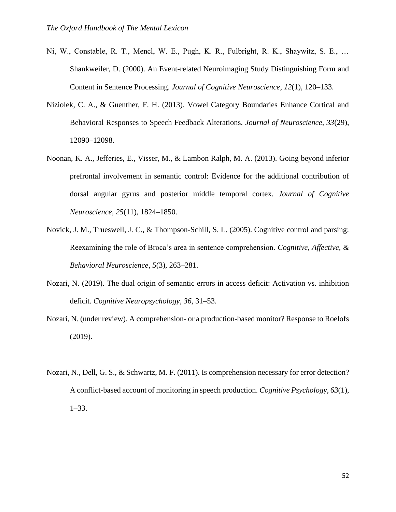- Ni, W., Constable, R. T., Mencl, W. E., Pugh, K. R., Fulbright, R. K., Shaywitz, S. E., … Shankweiler, D. (2000). An Event-related Neuroimaging Study Distinguishing Form and Content in Sentence Processing. *Journal of Cognitive Neuroscience*, *12*(1), 120–133.
- Niziolek, C. A., & Guenther, F. H. (2013). Vowel Category Boundaries Enhance Cortical and Behavioral Responses to Speech Feedback Alterations. *Journal of Neuroscience*, *33*(29), 12090–12098.
- Noonan, K. A., Jefferies, E., Visser, M., & Lambon Ralph, M. A. (2013). Going beyond inferior prefrontal involvement in semantic control: Evidence for the additional contribution of dorsal angular gyrus and posterior middle temporal cortex. *Journal of Cognitive Neuroscience*, *25*(11), 1824–1850.
- Novick, J. M., Trueswell, J. C., & Thompson-Schill, S. L. (2005). Cognitive control and parsing: Reexamining the role of Broca's area in sentence comprehension. *Cognitive, Affective, & Behavioral Neuroscience*, *5*(3), 263–281.
- Nozari, N. (2019). The dual origin of semantic errors in access deficit: Activation vs. inhibition deficit. *Cognitive Neuropsychology*, *36,* 31–53.
- Nozari, N. (under review). A comprehension- or a production-based monitor? Response to Roelofs (2019).
- Nozari, N., Dell, G. S., & Schwartz, M. F. (2011). Is comprehension necessary for error detection? A conflict-based account of monitoring in speech production. *Cognitive Psychology*, *63*(1), 1–33.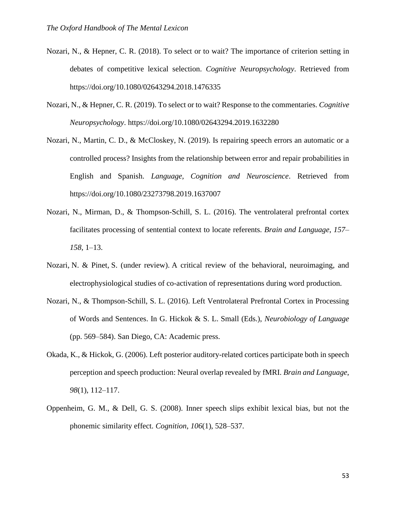- Nozari, N., & Hepner, C. R. (2018). To select or to wait? The importance of criterion setting in debates of competitive lexical selection. *Cognitive Neuropsychology*. Retrieved from https://doi.org/10.1080/02643294.2018.1476335
- Nozari, N., & Hepner, C. R. (2019). To select or to wait? Response to the commentaries. *Cognitive Neuropsychology*. https://doi.org/10.1080/02643294.2019.1632280
- Nozari, N., Martin, C. D., & McCloskey, N. (2019). Is repairing speech errors an automatic or a controlled process? Insights from the relationship between error and repair probabilities in English and Spanish. *Language, Cognition and Neuroscience*. Retrieved from https://doi.org/10.1080/23273798.2019.1637007
- Nozari, N., Mirman, D., & Thompson-Schill, S. L. (2016). The ventrolateral prefrontal cortex facilitates processing of sentential context to locate referents. *Brain and Language*, *157– 158*, 1–13.
- Nozari, N. & Pinet, S. (under review). A critical review of the behavioral, neuroimaging, and electrophysiological studies of co-activation of representations during word production.
- Nozari, N., & Thompson-Schill, S. L. (2016). Left Ventrolateral Prefrontal Cortex in Processing of Words and Sentences. In G. Hickok & S. L. Small (Eds.), *Neurobiology of Language* (pp. 569–584). San Diego, CA: Academic press.
- Okada, K., & Hickok, G. (2006). Left posterior auditory-related cortices participate both in speech perception and speech production: Neural overlap revealed by fMRI. *Brain and Language*, *98*(1), 112–117.
- Oppenheim, G. M., & Dell, G. S. (2008). Inner speech slips exhibit lexical bias, but not the phonemic similarity effect. *Cognition*, *106*(1), 528–537.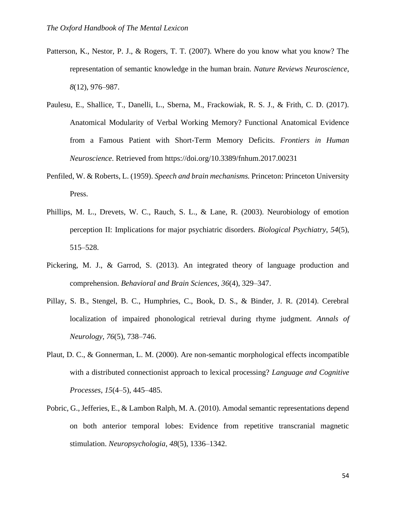- Patterson, K., Nestor, P. J., & Rogers, T. T. (2007). Where do you know what you know? The representation of semantic knowledge in the human brain. *Nature Reviews Neuroscience*, *8*(12), 976–987.
- Paulesu, E., Shallice, T., Danelli, L., Sberna, M., Frackowiak, R. S. J., & Frith, C. D. (2017). Anatomical Modularity of Verbal Working Memory? Functional Anatomical Evidence from a Famous Patient with Short-Term Memory Deficits. *Frontiers in Human Neuroscience*. Retrieved from https://doi.org/10.3389/fnhum.2017.00231
- Penfiled, W. & Roberts, L. (1959). *Speech and brain mechanisms.* Princeton: Princeton University Press.
- Phillips, M. L., Drevets, W. C., Rauch, S. L., & Lane, R. (2003). Neurobiology of emotion perception II: Implications for major psychiatric disorders. *Biological Psychiatry*, *54*(5), 515–528.
- Pickering, M. J., & Garrod, S. (2013). An integrated theory of language production and comprehension. *Behavioral and Brain Sciences*, *36*(4), 329–347.
- Pillay, S. B., Stengel, B. C., Humphries, C., Book, D. S., & Binder, J. R. (2014). Cerebral localization of impaired phonological retrieval during rhyme judgment. *Annals of Neurology*, *76*(5), 738–746.
- Plaut, D. C., & Gonnerman, L. M. (2000). Are non-semantic morphological effects incompatible with a distributed connectionist approach to lexical processing? *Language and Cognitive Processes*, *15*(4–5), 445–485.
- Pobric, G., Jefferies, E., & Lambon Ralph, M. A. (2010). Amodal semantic representations depend on both anterior temporal lobes: Evidence from repetitive transcranial magnetic stimulation. *Neuropsychologia*, *48*(5), 1336–1342.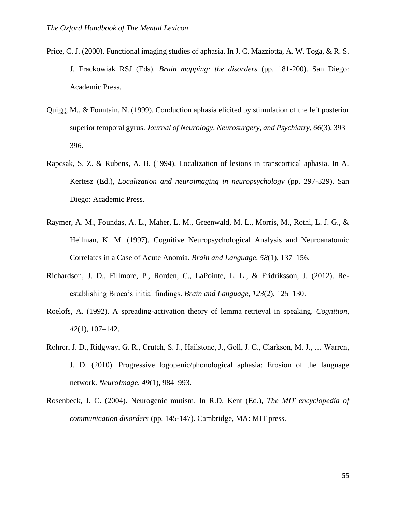- Price, C. J. (2000). Functional imaging studies of aphasia. In J. C. Mazziotta, A. W. Toga, & R. S. J. Frackowiak RSJ (Eds). *Brain mapping: the disorders* (pp. 181-200). San Diego: Academic Press.
- Quigg, M., & Fountain, N. (1999). Conduction aphasia elicited by stimulation of the left posterior superior temporal gyrus. *Journal of Neurology, Neurosurgery, and Psychiatry*, *66*(3), 393– 396.
- Rapcsak, S. Z. & Rubens, A. B. (1994). Localization of lesions in transcortical aphasia. In A. Kertesz (Ed.), *Localization and neuroimaging in neuropsychology* (pp. 297-329). San Diego: Academic Press.
- Raymer, A. M., Foundas, A. L., Maher, L. M., Greenwald, M. L., Morris, M., Rothi, L. J. G., & Heilman, K. M. (1997). Cognitive Neuropsychological Analysis and Neuroanatomic Correlates in a Case of Acute Anomia. *Brain and Language*, *58*(1), 137–156.
- Richardson, J. D., Fillmore, P., Rorden, C., LaPointe, L. L., & Fridriksson, J. (2012). Reestablishing Broca's initial findings. *Brain and Language*, *123*(2), 125–130.
- Roelofs, A. (1992). A spreading-activation theory of lemma retrieval in speaking. *Cognition*, *42*(1), 107–142.
- Rohrer, J. D., Ridgway, G. R., Crutch, S. J., Hailstone, J., Goll, J. C., Clarkson, M. J., … Warren, J. D. (2010). Progressive logopenic/phonological aphasia: Erosion of the language network. *NeuroImage*, *49*(1), 984–993.
- Rosenbeck, J. C. (2004). Neurogenic mutism. In R.D. Kent (Ed.), *The MIT encyclopedia of communication disorders* (pp. 145-147). Cambridge, MA: MIT press.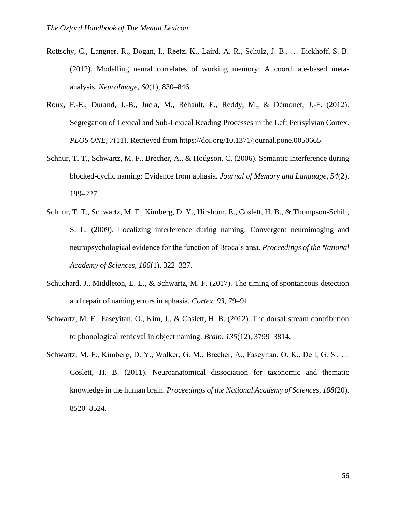- Rottschy, C., Langner, R., Dogan, I., Reetz, K., Laird, A. R., Schulz, J. B., … Eickhoff, S. B. (2012). Modelling neural correlates of working memory: A coordinate-based metaanalysis. *NeuroImage*, *60*(1), 830–846.
- Roux, F.-E., Durand, J.-B., Jucla, M., Réhault, E., Reddy, M., & Démonet, J.-F. (2012). Segregation of Lexical and Sub-Lexical Reading Processes in the Left Perisylvian Cortex. *PLOS ONE*, *7*(11). Retrieved from https://doi.org/10.1371/journal.pone.0050665
- Schnur, T. T., Schwartz, M. F., Brecher, A., & Hodgson, C. (2006). Semantic interference during blocked-cyclic naming: Evidence from aphasia. *Journal of Memory and Language*, *54*(2), 199–227.
- Schnur, T. T., Schwartz, M. F., Kimberg, D. Y., Hirshorn, E., Coslett, H. B., & Thompson-Schill, S. L. (2009). Localizing interference during naming: Convergent neuroimaging and neuropsychological evidence for the function of Broca's area. *Proceedings of the National Academy of Sciences*, *106*(1), 322–327.
- Schuchard, J., Middleton, E. L., & Schwartz, M. F. (2017). The timing of spontaneous detection and repair of naming errors in aphasia. *Cortex*, *93*, 79–91.
- Schwartz, M. F., Faseyitan, O., Kim, J., & Coslett, H. B. (2012). The dorsal stream contribution to phonological retrieval in object naming. *Brain*, *135*(12), 3799–3814.
- Schwartz, M. F., Kimberg, D. Y., Walker, G. M., Brecher, A., Faseyitan, O. K., Dell, G. S., … Coslett, H. B. (2011). Neuroanatomical dissociation for taxonomic and thematic knowledge in the human brain. *Proceedings of the National Academy of Sciences*, *108*(20), 8520–8524.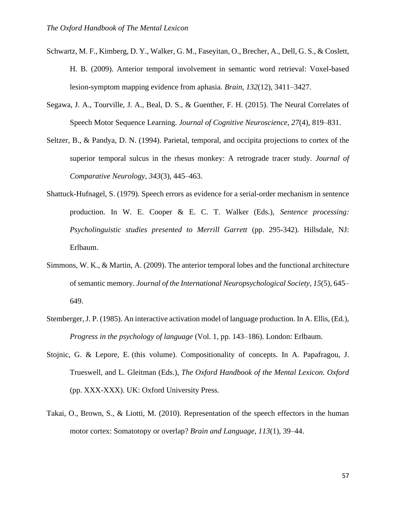- Schwartz, M. F., Kimberg, D. Y., Walker, G. M., Faseyitan, O., Brecher, A., Dell, G. S., & Coslett, H. B. (2009). Anterior temporal involvement in semantic word retrieval: Voxel-based lesion-symptom mapping evidence from aphasia. *Brain*, *132*(12), 3411–3427.
- Segawa, J. A., Tourville, J. A., Beal, D. S., & Guenther, F. H. (2015). The Neural Correlates of Speech Motor Sequence Learning. *Journal of Cognitive Neuroscience*, *27*(4), 819–831.
- Seltzer, B., & Pandya, D. N. (1994). Parietal, temporal, and occipita projections to cortex of the superior temporal sulcus in the rhesus monkey: A retrograde tracer study. *Journal of Comparative Neurology*, *343*(3), 445–463.
- Shattuck-Hufnagel, S. (1979). Speech errors as evidence for a serial-order mechanism in sentence production. In W. E. Cooper & E. C. T. Walker (Eds.), *Sentence processing: Psycholinguistic studies presented to Merrill Garrett* (pp. 295-342)*.* Hillsdale, NJ: Erlbaum.
- Simmons, W. K., & Martin, A. (2009). The anterior temporal lobes and the functional architecture of semantic memory. *Journal of the International Neuropsychological Society*, *15*(5), 645– 649.
- Stemberger, J. P. (1985). An interactive activation model of language production. In A. Ellis, (Ed.), *Progress in the psychology of language* (Vol. 1, pp. 143–186). London: Erlbaum.
- Stojnic, G. & Lepore, E. (this volume). Compositionality of concepts. In A. Papafragou, J. Trueswell, and L. Gleitman (Eds.), *The Oxford Handbook of the Mental Lexicon. Oxford* (pp. XXX-XXX). UK: Oxford University Press.
- Takai, O., Brown, S., & Liotti, M. (2010). Representation of the speech effectors in the human motor cortex: Somatotopy or overlap? *Brain and Language*, *113*(1), 39–44.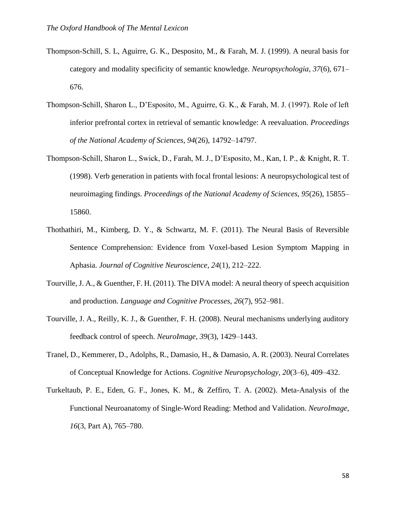- Thompson-Schill, S. L, Aguirre, G. K., Desposito, M., & Farah, M. J. (1999). A neural basis for category and modality specificity of semantic knowledge. *Neuropsychologia*, *37*(6), 671– 676.
- Thompson-Schill, Sharon L., D'Esposito, M., Aguirre, G. K., & Farah, M. J. (1997). Role of left inferior prefrontal cortex in retrieval of semantic knowledge: A reevaluation. *Proceedings of the National Academy of Sciences*, *94*(26), 14792–14797.
- Thompson-Schill, Sharon L., Swick, D., Farah, M. J., D'Esposito, M., Kan, I. P., & Knight, R. T. (1998). Verb generation in patients with focal frontal lesions: A neuropsychological test of neuroimaging findings. *Proceedings of the National Academy of Sciences*, *95*(26), 15855– 15860.
- Thothathiri, M., Kimberg, D. Y., & Schwartz, M. F. (2011). The Neural Basis of Reversible Sentence Comprehension: Evidence from Voxel-based Lesion Symptom Mapping in Aphasia. *Journal of Cognitive Neuroscience*, *24*(1), 212–222.
- Tourville, J. A., & Guenther, F. H. (2011). The DIVA model: A neural theory of speech acquisition and production. *Language and Cognitive Processes*, *26*(7), 952–981.
- Tourville, J. A., Reilly, K. J., & Guenther, F. H. (2008). Neural mechanisms underlying auditory feedback control of speech. *NeuroImage*, *39*(3), 1429–1443.
- Tranel, D., Kemmerer, D., Adolphs, R., Damasio, H., & Damasio, A. R. (2003). Neural Correlates of Conceptual Knowledge for Actions. *Cognitive Neuropsychology*, *20*(3–6), 409–432.
- Turkeltaub, P. E., Eden, G. F., Jones, K. M., & Zeffiro, T. A. (2002). Meta-Analysis of the Functional Neuroanatomy of Single-Word Reading: Method and Validation. *NeuroImage*, *16*(3, Part A), 765–780.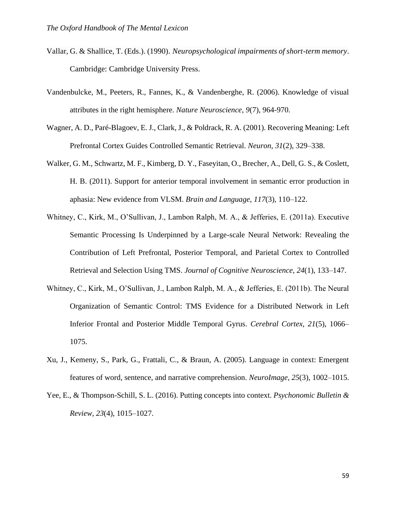- Vallar, G. & Shallice, T. (Eds.). (1990). *Neuropsychological impairments of short-term memory*. Cambridge: Cambridge University Press.
- Vandenbulcke, M., Peeters, R., Fannes, K., & Vandenberghe, R. (2006). Knowledge of visual attributes in the right hemisphere. *Nature Neuroscience*, *9*(7), 964-970.
- Wagner, A. D., Paré-Blagoev, E. J., Clark, J., & Poldrack, R. A. (2001). Recovering Meaning: Left Prefrontal Cortex Guides Controlled Semantic Retrieval. *Neuron*, *31*(2), 329–338.
- Walker, G. M., Schwartz, M. F., Kimberg, D. Y., Faseyitan, O., Brecher, A., Dell, G. S., & Coslett, H. B. (2011). Support for anterior temporal involvement in semantic error production in aphasia: New evidence from VLSM. *Brain and Language*, *117*(3), 110–122.
- Whitney, C., Kirk, M., O'Sullivan, J., Lambon Ralph, M. A., & Jefferies, E. (2011a). Executive Semantic Processing Is Underpinned by a Large-scale Neural Network: Revealing the Contribution of Left Prefrontal, Posterior Temporal, and Parietal Cortex to Controlled Retrieval and Selection Using TMS. *Journal of Cognitive Neuroscience*, *24*(1), 133–147.
- Whitney, C., Kirk, M., O'Sullivan, J., Lambon Ralph, M. A., & Jefferies, E. (2011b). The Neural Organization of Semantic Control: TMS Evidence for a Distributed Network in Left Inferior Frontal and Posterior Middle Temporal Gyrus. *Cerebral Cortex*, *21*(5), 1066– 1075.
- Xu, J., Kemeny, S., Park, G., Frattali, C., & Braun, A. (2005). Language in context: Emergent features of word, sentence, and narrative comprehension. *NeuroImage*, *25*(3), 1002–1015.
- Yee, E., & Thompson-Schill, S. L. (2016). Putting concepts into context. *Psychonomic Bulletin & Review*, *23*(4), 1015–1027.